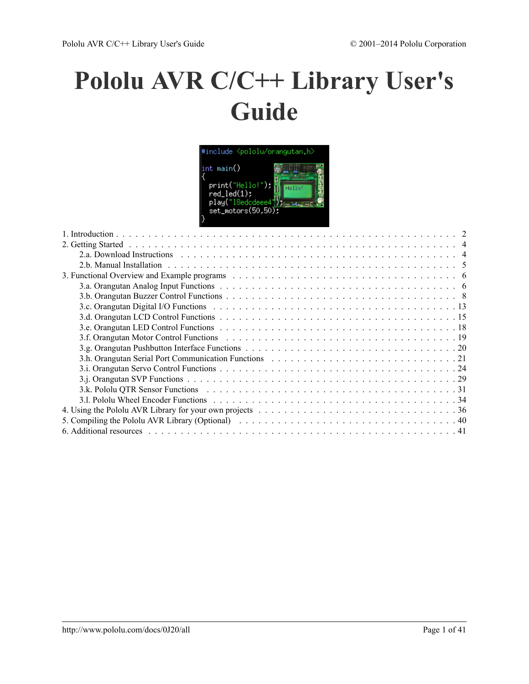# <span id="page-0-0"></span>**[Pololu AVR C/C++ Library User's](#page-0-0) [Guide](#page-0-0)**



| 2.a. Download Instructions et al., and the contract of the contract of the contract of the contract of the contract of the contract of the contract of the contract of the contract of the contract of the contract of the con |
|--------------------------------------------------------------------------------------------------------------------------------------------------------------------------------------------------------------------------------|
|                                                                                                                                                                                                                                |
|                                                                                                                                                                                                                                |
|                                                                                                                                                                                                                                |
|                                                                                                                                                                                                                                |
|                                                                                                                                                                                                                                |
|                                                                                                                                                                                                                                |
|                                                                                                                                                                                                                                |
|                                                                                                                                                                                                                                |
| 3.f. Orangutan Motor Control Functions (and all control of the state of the state of the state of the state of the state of the state of the state of the state of the state of the state of the state of the state of the sta |
|                                                                                                                                                                                                                                |
| 3.h. Orangutan Serial Port Communication Functions (also contained a series of the contact of 21 and 3.1 and 3.1 and 3.1 and 3.1 and 3.1 and 3.1 and 3.1 and 3.1 and 3.1 and 3.1 and 3.1 and 3.1 and 3.1 and 3.1 and 3.1 and 3 |
|                                                                                                                                                                                                                                |
|                                                                                                                                                                                                                                |
|                                                                                                                                                                                                                                |
|                                                                                                                                                                                                                                |
|                                                                                                                                                                                                                                |
|                                                                                                                                                                                                                                |
|                                                                                                                                                                                                                                |
|                                                                                                                                                                                                                                |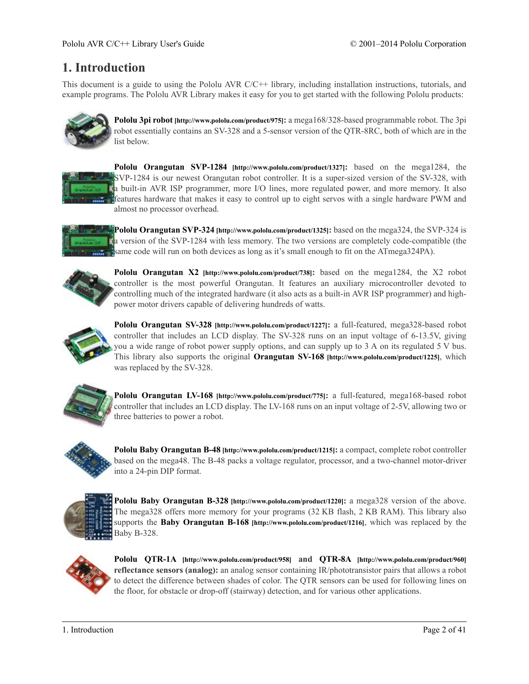# <span id="page-1-0"></span>**1. Introduction**

This document is a guide to using the Pololu AVR C/C++ library, including installation instructions, tutorials, and example programs. The Pololu AVR Library makes it easy for you to get started with the following Pololu products:



**Pololu 3pi robot [\[http://www.pololu.com/product/975\]](http://www.pololu.com/product/975):** a mega168/328-based programmable robot. The 3pi robot essentially contains an SV-328 and a 5-sensor version of the QTR-8RC, both of which are in the list below.

$$
\left| \frac{\partial}{\partial x_i} \right|
$$

**Pololu Orangutan SVP-1284 [\[http://www.pololu.com/product/1327\]](http://www.pololu.com/product/1327):** based on the mega1284, the SVP-1284 is our newest Orangutan robot controller. It is a super-sized version of the SV-328, with a built-in AVR ISP programmer, more I/O lines, more regulated power, and more memory. It also features hardware that makes it easy to control up to eight servos with a single hardware PWM and almost no processor overhead.



**Pololu Orangutan SVP-324 [\[http://www.pololu.com/product/1325\]](http://www.pololu.com/product/1325):** based on the mega324, the SVP-324 is a version of the SVP-1284 with less memory. The two versions are completely code-compatible (the same code will run on both devices as long as it's small enough to fit on the ATmega324PA).



**Pololu Orangutan X2 [\[http://www.pololu.com/product/738\]](http://www.pololu.com/product/738):** based on the mega1284, the X2 robot controller is the most powerful Orangutan. It features an auxiliary microcontroller devoted to controlling much of the integrated hardware (it also acts as a built-in AVR ISP programmer) and highpower motor drivers capable of delivering hundreds of watts.



**Pololu Orangutan SV-328 [\[http://www.pololu.com/product/1227\]](http://www.pololu.com/product/1227):** a full-featured, mega328-based robot controller that includes an LCD display. The SV-328 runs on an input voltage of 6-13.5V, giving you a wide range of robot power supply options, and can supply up to 3 A on its regulated 5 V bus. This library also supports the original **Orangutan SV-168 [\[http://www.pololu.com/product/1225\]](http://www.pololu.com/product/1225)**, which was replaced by the SV-328.



**Pololu Orangutan LV-168 [\[http://www.pololu.com/product/775\]](http://www.pololu.com/product/775):** a full-featured, mega168-based robot controller that includes an LCD display. The LV-168 runs on an input voltage of 2-5V, allowing two or three batteries to power a robot.



**Pololu Baby Orangutan B-48 [\[http://www.pololu.com/product/1215\]](http://www.pololu.com/product/1215):** a compact, complete robot controller based on the mega48. The B-48 packs a voltage regulator, processor, and a two-channel motor-driver into a 24-pin DIP format.



**Pololu Baby Orangutan B-328 [\[http://www.pololu.com/product/1220\]](http://www.pololu.com/product/1220):** a mega328 version of the above. The mega328 offers more memory for your programs (32 KB flash, 2 KB RAM). This library also supports the **Baby Orangutan B-168 [\[http://www.pololu.com/product/1216\]](http://www.pololu.com/product/1216)**, which was replaced by the Baby B-328.



**Pololu QTR-1A [\[http://www.pololu.com/product/958\]](http://www.pololu.com/product/958) and QTR-8A [\[http://www.pololu.com/product/960\]](http://www.pololu.com/product/960) reflectance sensors (analog):** an analog sensor containing IR/phototransistor pairs that allows a robot to detect the difference between shades of color. The QTR sensors can be used for following lines on the floor, for obstacle or drop-off (stairway) detection, and for various other applications.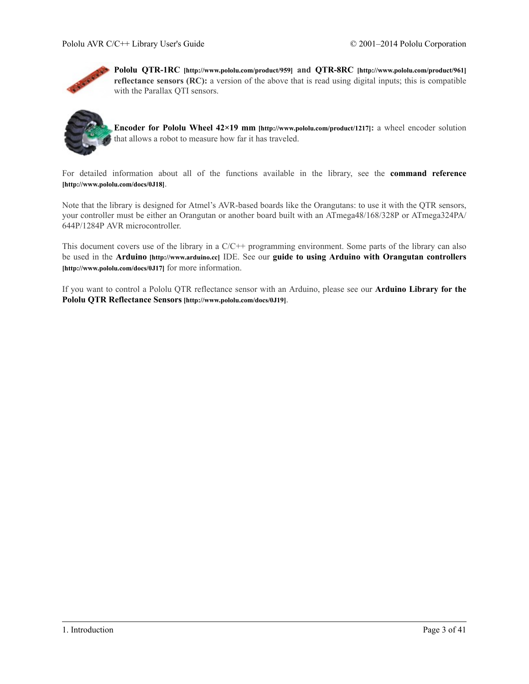

**Pololu QTR-1RC [\[http://www.pololu.com/product/959\]](http://www.pololu.com/product/959) and QTR-8RC [\[http://www.pololu.com/product/961\]](http://www.pololu.com/product/961) reflectance sensors (RC):** a version of the above that is read using digital inputs; this is compatible with the Parallax QTI sensors.



**Encoder for Pololu Wheel 42×19 mm [\[http://www.pololu.com/product/1217\]](http://www.pololu.com/product/1217):** a wheel encoder solution that allows a robot to measure how far it has traveled.

For detailed information about all of the functions available in the library, see the **[command](http://www.pololu.com/docs/0J18) reference [\[http://www.pololu.com/docs/0J18\]](http://www.pololu.com/docs/0J18)**.

Note that the library is designed for Atmel's AVR-based boards like the Orangutans: to use it with the QTR sensors, your controller must be either an Orangutan or another board built with an ATmega48/168/328P or ATmega324PA/ 644P/1284P AVR microcontroller.

This document covers use of the library in a C/C++ programming environment. Some parts of the library can also be used in the **Arduino [\[http://www.arduino.cc\]](http://www.arduino.cc)** IDE. See our **guide to using Arduino with [Orangutan](http://www.pololu.com/docs/0J17) controllers [\[http://www.pololu.com/docs/0J17\]](http://www.pololu.com/docs/0J17)** for more information.

If you want to control a Pololu QTR reflectance sensor with an Arduino, please see our **[Arduino](http://www.pololu.com/docs/0J19) Library for the [Pololu QTR Reflectance Sensors](http://www.pololu.com/docs/0J19) [http://www.pololu.com/docs/0J19]**.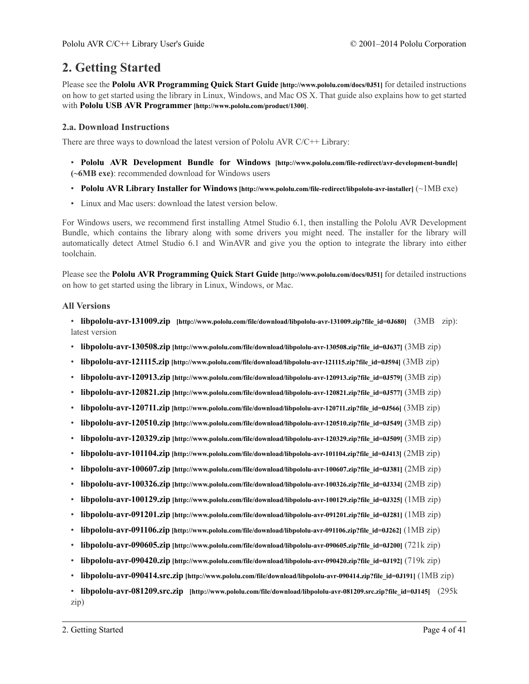# <span id="page-3-0"></span>**2. Getting Started**

Please see the **Pololu AVR Programming Quick Start Guide [\[http://www.pololu.com/docs/0J51\]](http://www.pololu.com/docs/0J51)** for detailed instructions on how to get started using the library in Linux, Windows, and Mac OS X. That guide also explains how to get started with **[Pololu USB AVR Programmer](http://www.pololu.com/product/1300) [http://www.pololu.com/product/1300]**.

# <span id="page-3-1"></span>**2.a. Download Instructions**

There are three ways to download the latest version of Pololu AVR C/C++ Library:

- **Pololu AVR Development Bundle for Windows [\[http://www.pololu.com/file-redirect/avr-development-bundle\]](http://www.pololu.com/file-redirect/avr-development-bundle) (~6MB exe)**: recommended download for Windows users
- **Pololu AVR Library Installer for Windows[\[http://www.pololu.com/file-redirect/libpololu-avr-installer\]](http://www.pololu.com/file-redirect/libpololu-avr-installer)** (~1MB exe)
- Linux and Mac users: download the latest version below.

For Windows users, we recommend first installing Atmel Studio 6.1, then installing the Pololu AVR Development Bundle, which contains the library along with some drivers you might need. The installer for the library will automatically detect Atmel Studio 6.1 and WinAVR and give you the option to integrate the library into either toolchain.

Please see the **Pololu AVR Programming Quick Start Guide [\[http://www.pololu.com/docs/0J51\]](http://www.pololu.com/docs/0J51)** for detailed instructions on how to get started using the library in Linux, Windows, or Mac.

# **All Versions**

- **libpololu-avr-131009.zip** [\[http://www.pololu.com/file/download/libpololu-avr-131009.zip?file\\_id=0J680\]](http://www.pololu.com/file/download/libpololu-avr-131009.zip?file_id=0J680) (3MB zip): latest version
- **libpololu-avr-130508.zip[\[http://www.pololu.com/file/download/libpololu-avr-130508.zip?file\\_id=0J637\]](http://www.pololu.com/file/download/libpololu-avr-130508.zip?file_id=0J637)** (3MB zip)
- **libpololu-avr-121115.zip[\[http://www.pololu.com/file/download/libpololu-avr-121115.zip?file\\_id=0J594\]](http://www.pololu.com/file/download/libpololu-avr-121115.zip?file_id=0J594)** (3MB zip)
- **libpololu-avr-120913.zip[\[http://www.pololu.com/file/download/libpololu-avr-120913.zip?file\\_id=0J579\]](http://www.pololu.com/file/download/libpololu-avr-120913.zip?file_id=0J579)** (3MB zip)
- **libpololu-avr-120821.zip[\[http://www.pololu.com/file/download/libpololu-avr-120821.zip?file\\_id=0J577\]](http://www.pololu.com/file/download/libpololu-avr-120821.zip?file_id=0J577)** (3MB zip)
- **libpololu-avr-120711.zip[\[http://www.pololu.com/file/download/libpololu-avr-120711.zip?file\\_id=0J566\]](http://www.pololu.com/file/download/libpololu-avr-120711.zip?file_id=0J566)** (3MB zip)
- **libpololu-avr-120510.zip** [\[http://www.pololu.com/file/download/libpololu-avr-120510.zip?file\\_id=0J549\]](http://www.pololu.com/file/download/libpololu-avr-120510.zip?file_id=0J549) (3MB zip)
- **libpololu-avr-120329.zip** [\[http://www.pololu.com/file/download/libpololu-avr-120329.zip?file\\_id=0J509\]](http://www.pololu.com/file/download/libpololu-avr-120329.zip?file_id=0J509) (3MB zip)
- **libpololu-avr-101104.zip** [\[http://www.pololu.com/file/download/libpololu-avr-101104.zip?file\\_id=0J413\]](http://www.pololu.com/file/download/libpololu-avr-101104.zip?file_id=0J413) (2MB zip)
- **libpololu-avr-100607.zip[\[http://www.pololu.com/file/download/libpololu-avr-100607.zip?file\\_id=0J381\]](http://www.pololu.com/file/download/libpololu-avr-100607.zip?file_id=0J381)** (2MB zip)
- **libpololu-avr-100326.zip[\[http://www.pololu.com/file/download/libpololu-avr-100326.zip?file\\_id=0J334\]](http://www.pololu.com/file/download/libpololu-avr-100326.zip?file_id=0J334)** (2MB zip)
- **libpololu-avr-100129.zip** [\[http://www.pololu.com/file/download/libpololu-avr-100129.zip?file\\_id=0J325\]](http://www.pololu.com/file/download/libpololu-avr-100129.zip?file_id=0J325) (1MB zip)
- **libpololu-avr-091201.zip[\[http://www.pololu.com/file/download/libpololu-avr-091201.zip?file\\_id=0J281\]](http://www.pololu.com/file/download/libpololu-avr-091201.zip?file_id=0J281)** (1MB zip)
- **libpololu-avr-091106.zip** [\[http://www.pololu.com/file/download/libpololu-avr-091106.zip?file\\_id=0J262\]](http://www.pololu.com/file/download/libpololu-avr-091106.zip?file_id=0J262) (1MB zip)
- **libpololu-avr-090605.zip[\[http://www.pololu.com/file/download/libpololu-avr-090605.zip?file\\_id=0J200\]](http://www.pololu.com/file/download/libpololu-avr-090605.zip?file_id=0J200)** (721k zip)
- **libpololu-avr-090420.zip[\[http://www.pololu.com/file/download/libpololu-avr-090420.zip?file\\_id=0J192\]](http://www.pololu.com/file/download/libpololu-avr-090420.zip?file_id=0J192)** (719k zip)
- **libpololu-avr-090414.src.zip[\[http://www.pololu.com/file/download/libpololu-avr-090414.zip?file\\_id=0J191\]](http://www.pololu.com/file/download/libpololu-avr-090414.zip?file_id=0J191)** (1MB zip)
- **libpololu-avr-081209.src.zip [\[http://www.pololu.com/file/download/libpololu-avr-081209.src.zip?file\\_id=0J145\]](http://www.pololu.com/file/download/libpololu-avr-081209.src.zip?file_id=0J145)** (295k zip)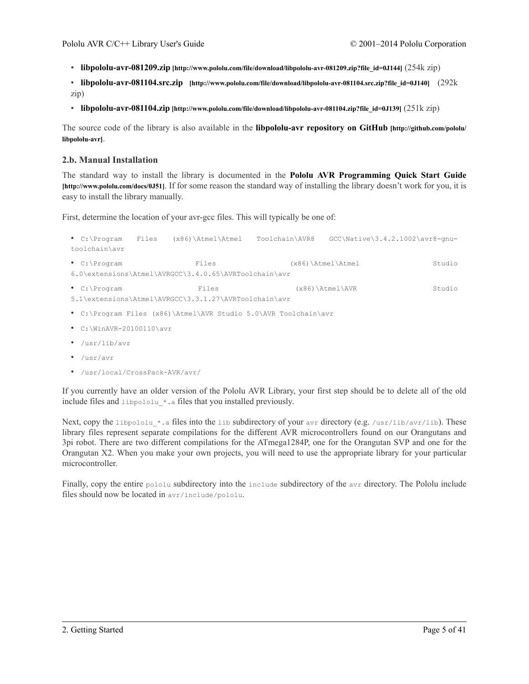- **libpololu-avr-081209.zip** [\[http://www.pololu.com/file/download/libpololu-avr-081209.zip?file\\_id=0J144\]](http://www.pololu.com/file/download/libpololu-avr-081209.zip?file_id=0J144) (254k zip)
- **libpololu-avr-081104.src.zip [\[http://www.pololu.com/file/download/libpololu-avr-081104.src.zip?file\\_id=0J140\]](http://www.pololu.com/file/download/libpololu-avr-081104.src.zip?file_id=0J140)** (292k zip)
- **libpololu-avr-081104.zip[\[http://www.pololu.com/file/download/libpololu-avr-081104.zip?file\\_id=0J139\]](http://www.pololu.com/file/download/libpololu-avr-081104.zip?file_id=0J139)** (251k zip)

The source code of the library is also available in the **libpololu-avr repository on GitHub [\[http://github.com/pololu/](http://github.com/pololu/libpololu-avr) [libpololu-avr\]](http://github.com/pololu/libpololu-avr)**.

# <span id="page-4-0"></span>**2.b. Manual Installation**

The standard way to install the library is documented in the **Pololu AVR [Programming](http://www.pololu.com/docs/0J51) Quick Start Guide [\[http://www.pololu.com/docs/0J51\]](http://www.pololu.com/docs/0J51)**. If for some reason the standard way of installing the library doesn't work for you, it is easy to install the library manually.

First, determine the location of your avr-gcc files. This will typically be one of:

| $GCC\Mative\3.4.2.1002\aryo-gnu-$ |
|-----------------------------------|
|                                   |
| Studio                            |
| Studio                            |
|                                   |
|                                   |
|                                   |

- C:\WinAVR-20100110\avr
- /usr/lib/avr
- /usr/avr
- /usr/local/CrossPack-AVR/avr/

If you currently have an older version of the Pololu AVR Library, your first step should be to delete all of the old include files and  $\text{libpololu}$  \*.a files that you installed previously.

Next, copy the libpololu  $*$ .a files into the lib subdirectory of your avr directory (e.g. /usr/lib/avr/lib). These library files represent separate compilations for the different AVR microcontrollers found on our Orangutans and 3pi robot. There are two different compilations for the ATmega1284P, one for the Orangutan SVP and one for the Orangutan X2. When you make your own projects, you will need to use the appropriate library for your particular microcontroller.

Finally, copy the entire pololu subdirectory into the include subdirectory of the avr directory. The Pololu include files should now be located in avr/include/pololu.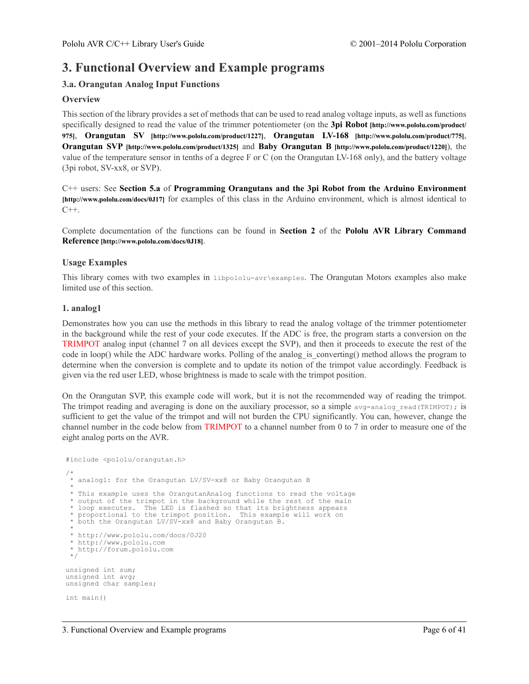# <span id="page-5-0"></span>**3. Functional Overview and Example programs**

# <span id="page-5-1"></span>**3.a. Orangutan Analog Input Functions**

# **Overview**

This section of the library provides a set of methods that can be used to read analog voltage inputs, as well as functions specifically designed to read the value of the trimmer potentiometer (on the **3pi Robot [\[http://www.pololu.com/product/](http://www.pololu.com/product/975) [975\]](http://www.pololu.com/product/975)**, **Orangutan SV [\[http://www.pololu.com/product/1227\]](http://www.pololu.com/product/1227)**, **Orangutan LV-168 [\[http://www.pololu.com/product/775\]](http://www.pololu.com/product/775)**, **Orangutan SVP [\[http://www.pololu.com/product/1325\]](http://www.pololu.com/product/1325)** and **Baby Orangutan B [\[http://www.pololu.com/product/1220\]](http://www.pololu.com/product/1220)**), the value of the temperature sensor in tenths of a degree F or C (on the Orangutan LV-168 only), and the battery voltage (3pi robot, SV-xx8, or SVP).

C++ users: See **[Section](http://www.pololu.com/docs/0J17/5.a) 5.a** of **[Programming](http://www.pololu.com/docs/0J17) Orangutans and the 3pi Robot from the Arduino Environment [\[http://www.pololu.com/docs/0J17\]](http://www.pololu.com/docs/0J17)** for examples of this class in the Arduino environment, which is almost identical to  $C++$ .

Complete documentation of the functions can be found in **[Section](http://www.pololu.com/docs/0J18/2) 2** of the **Pololu AVR Library [Command](http://www.pololu.com/docs/0J18) Reference [\[http://www.pololu.com/docs/0J18\]](http://www.pololu.com/docs/0J18)**.

# **Usage Examples**

This library comes with two examples in libpololu-avr\examples. The Orangutan Motors examples also make limited use of this section.

# **1. analog1**

Demonstrates how you can use the methods in this library to read the analog voltage of the trimmer potentiometer in the background while the rest of your code executes. If the ADC is free, the program starts a conversion on the TRIMPOT analog input (channel 7 on all devices except the SVP), and then it proceeds to execute the rest of the code in loop() while the ADC hardware works. Polling of the analog\_is\_converting() method allows the program to determine when the conversion is complete and to update its notion of the trimpot value accordingly. Feedback is given via the red user LED, whose brightness is made to scale with the trimpot position.

On the Orangutan SVP, this example code will work, but it is not the recommended way of reading the trimpot. The trimpot reading and averaging is done on the auxiliary processor, so a simple avg=analog read(TRIMPOT); is sufficient to get the value of the trimpot and will not burden the CPU significantly. You can, however, change the channel number in the code below from TRIMPOT to a channel number from 0 to 7 in order to measure one of the eight analog ports on the AVR.

```
#include <pololu/orangutan.h>
/*
 * analog1: for the Orangutan LV/SV-xx8 or Baby Orangutan B
 *
 * This example uses the OrangutanAnalog functions to read the voltage
 * output of the trimpot in the background while the rest of the main
 * loop executes. The LED is flashed so that its brightness appears
 * proportional to the trimpot position. This example will work on
 * both the Orangutan LV/SV-xx8 and Baby Orangutan B.
 *
 * http://www.pololu.com/docs/0J20
 * http://www.pololu.com
 * http://forum.pololu.com
 */
unsigned int sum;
unsigned int avg;
unsigned char samples;
int main()
```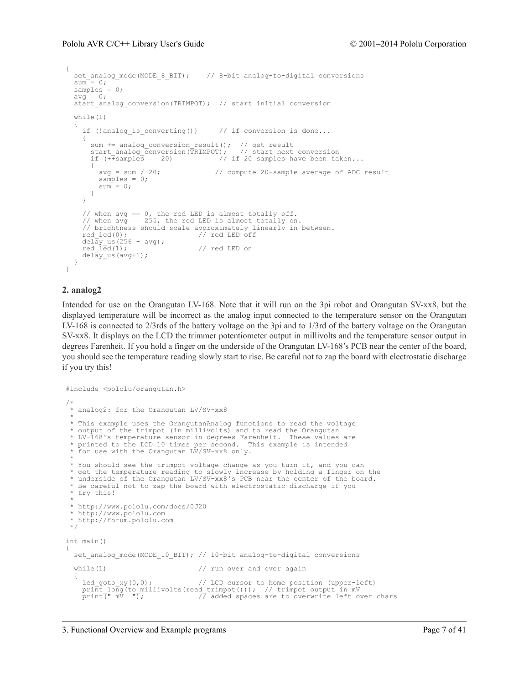```
{
 set analog mode(MODE 8 BIT); // 8-bit analog-to-digital conversions
  sum = 0;
  samples = 0;
  avg = 0;start analog conversion(TRIMPOT); // start initial conversion
  while(1){
    if (!analog is converting()) // if conversion is done...
    {
      sum += analog conversion result(); // get result
      start analog conversion(TRIMPOT); // start next conversion
      if (+\overline{+}samples == 20) // if 20 samples have been taken...
      {
       avg = sum / 20; // compute 20-sample average of ADC result
        samples = 0;sum = 0;}
    }
    // when avg == 0, the red LED is almost totally off.
    // when avg == 255, the red LED is almost totally on.
    // brightness should scale approximately linearly in between.<br>red led(0); \frac{1}{2} // red LED off
                                // red LED off
    delay us (256 - avg);
    red \overline{led}(1); // red \overline{LED} on
   delay_us(avg+1);}
}
```
# **2. analog2**

Intended for use on the Orangutan LV-168. Note that it will run on the 3pi robot and Orangutan SV-xx8, but the displayed temperature will be incorrect as the analog input connected to the temperature sensor on the Orangutan LV-168 is connected to 2/3rds of the battery voltage on the 3pi and to 1/3rd of the battery voltage on the Orangutan SV-xx8. It displays on the LCD the trimmer potentiometer output in millivolts and the temperature sensor output in degrees Farenheit. If you hold a finger on the underside of the Orangutan LV-168's PCB near the center of the board, you should see the temperature reading slowly start to rise. Be careful not to zap the board with electrostatic discharge if you try this!

```
#include <pololu/orangutan.h>
/*
 * analog2: for the Orangutan LV/SV-xx8
 *
 * This example uses the OrangutanAnalog functions to read the voltage
 * output of the trimpot (in millivolts) and to read the Orangutan
 * LV-168's temperature sensor in degrees Farenheit. These values are
 * printed to the LCD 10 times per second. This example is intended
 * for use with the Orangutan LV/SV-xx8 only.
 *
* You should see the trimpot voltage change as you turn it, and you can
 * get the temperature reading to slowly increase by holding a finger on the
 * underside of the Orangutan LV/SV-xx8's PCB near the center of the board.
 * Be careful not to zap the board with electrostatic discharge if you
 * try this!
 *
 * http://www.pololu.com/docs/0J20
 * http://www.pololu.com
 * http://forum.pololu.com
 */
int main()
{
  set analog mode(MODE 10 BIT); // 10-bit analog-to-digital conversions
 while(1) \frac{1}{2} \frac{1}{2} run over and over again
  {
    lcd goto xy(0,0); // LCD cursor to home position (upper-left)
    print long(to millivolts(read trimpot())); // trimpot output in mV
    print\overline{(\mathsf{''}\, \mathsf{mV} \, \mathsf{''})}; \qquad \qquad \frac{1}{7} added spaces are to overwrite left over chars
```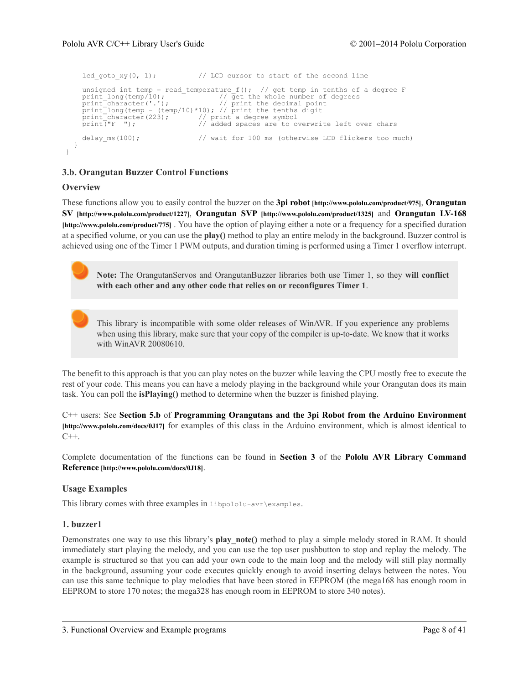```
lcd goto xy(0, 1); // LCD cursor to start of the second line
 unsigned int temp = read temperature f(); // get temp in tenths of a degree F
 print long(temp/10); \overline{\phantom{a}} // get the whole number of degrees
 print<sup>-</sup>character('.'); \frac{1}{2} // print the decimal point
 print_long(temp - (temp/10)*10); // print the tenths digit
 print_character(223); // print a degree symbol
 print("F "); \sqrt{2} added spaces are to overwrite left over chars
 delay_ms(100); // wait for 100 ms (otherwise LCD flickers too much)
}
```
# <span id="page-7-0"></span>**3.b. Orangutan Buzzer Control Functions**

# **Overview**

}

These functions allow you to easily control the buzzer on the **3pi robot [\[http://www.pololu.com/product/975\]](http://www.pololu.com/product/975)**, **[Orangutan](http://www.pololu.com/product/1227) SV [\[http://www.pololu.com/product/1227\]](http://www.pololu.com/product/1227)**, **Orangutan SVP [\[http://www.pololu.com/product/1325\]](http://www.pololu.com/product/1325)** and **[Orangutan](http://www.pololu.com/product/775) LV-168 [\[http://www.pololu.com/product/775\]](http://www.pololu.com/product/775)** . You have the option of playing either a note or a frequency for a specified duration at a specified volume, or you can use the **play()** method to play an entire melody in the background. Buzzer control is achieved using one of the Timer 1 PWM outputs, and duration timing is performed using a Timer 1 overflow interrupt.

**Note:** The OrangutanServos and OrangutanBuzzer libraries both use Timer 1, so they **will conflict with each other and any other code that relies on or reconfigures Timer 1**.

This library is incompatible with some older releases of WinAVR. If you experience any problems when using this library, make sure that your copy of the compiler is up-to-date. We know that it works with WinAVR 20080610.

The benefit to this approach is that you can play notes on the buzzer while leaving the CPU mostly free to execute the rest of your code. This means you can have a melody playing in the background while your Orangutan does its main task. You can poll the **isPlaying()** method to determine when the buzzer is finished playing.

C++ users: See **[Section](http://www.pololu.com/docs/0J17/5.b) 5.b** of **[Programming](http://www.pololu.com/docs/0J17) Orangutans and the 3pi Robot from the Arduino Environment [\[http://www.pololu.com/docs/0J17\]](http://www.pololu.com/docs/0J17)** for examples of this class in the Arduino environment, which is almost identical to C++.

Complete documentation of the functions can be found in **[Section](http://www.pololu.com/docs/0J18/3) 3** of the **Pololu AVR Library [Command](http://www.pololu.com/docs/0J18) Reference [\[http://www.pololu.com/docs/0J18\]](http://www.pololu.com/docs/0J18)**.

# **Usage Examples**

This library comes with three examples in libpololu-avr\examples.

#### **1. buzzer1**

Demonstrates one way to use this library's **play\_note()** method to play a simple melody stored in RAM. It should immediately start playing the melody, and you can use the top user pushbutton to stop and replay the melody. The example is structured so that you can add your own code to the main loop and the melody will still play normally in the background, assuming your code executes quickly enough to avoid inserting delays between the notes. You can use this same technique to play melodies that have been stored in EEPROM (the mega168 has enough room in EEPROM to store 170 notes; the mega328 has enough room in EEPROM to store 340 notes).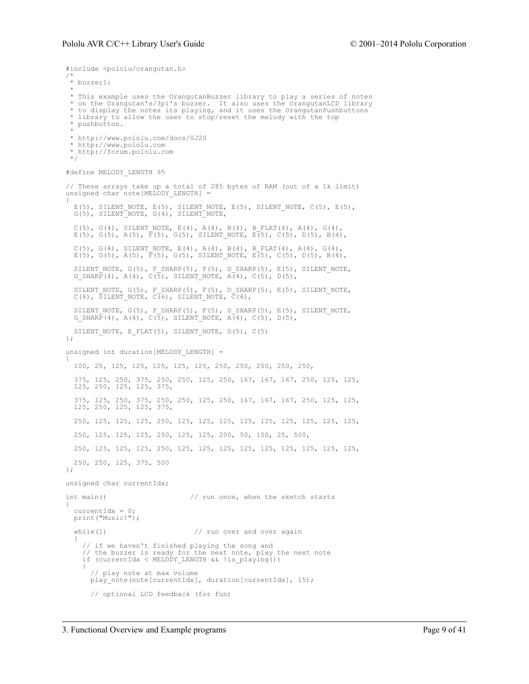#include <pololu/orangutan.h> /\* \* buzzer1: \* \* This example uses the OrangutanBuzzer library to play a series of notes \* on the Orangutan's/3pi's buzzer. It also uses the OrangutanLCD library \* to display the notes its playing, and it uses the OrangutanPushbuttons \* library to allow the user to stop/reset the melody with the top \* pushbutton. \* \* http://www.pololu.com/docs/0J20 \* http://www.pololu.com \* http://forum.pololu.com \*/ #define MELODY\_LENGTH 95 // These arrays take up a total of 285 bytes of RAM (out of a 1k limit) unsigned char note[MELODY LENGTH] = {  $E(5)$ , SILENT NOTE,  $E(5)$ , SILENT NOTE,  $E(5)$ , SILENT NOTE, C(5),  $E(5)$ , G(5), SILENT\_NOTE, G(4), SILENT\_NOTE,  $C(5)$ ,  $G(4)$ , SILENT NOTE, E(4), A(4), B(4), B FLAT(4), A(4), G(4), E(5), G(5), A(5),  $\overline{F}(5)$ , G(5), SILENT NOTE, E(5), C(5), D(5), B(4),  $C(5)$ ,  $G(4)$ , SILENT NOTE, E(4), A(4), B(4), B FLAT(4), A(4), G(4), E(5), G(5), A(5),  $\overline{F}(5)$ , G(5), SILENT NOTE, E(5), C(5), D(5), B(4), SILENT NOTE, G(5), F\_SHARP(5), F(5), D\_SHARP(5), E(5), SILENT\_NOTE, G SHAR $\overline{P}(4)$ , A(4), C(5), SILENT NOTE, A(4), C(5), D(5), SILENT\_NOTE, G(5), F\_SHARP(5), F(5), D\_SHARP(5), E(5), SILENT\_NOTE, C(6), SILENT\_NOTE,  $C(6)$ , SILENT\_NOTE,  $\overline{C}(6)$ , SILENT NOTE, G(5), F\_SHARP(5), F(5), D\_SHARP(5), E(5), SILENT\_NOTE, G SHAR $\overline{P}(4)$ , A(4), C(5), SILENT NOTE, A(4), C(5), D(5), SILENT NOTE, E\_FLAT(5), SILENT NOTE, D(5), C(5) }; unsigned int duration[MELODY LENGTH] = { 100, 25, 125, 125, 125, 125, 125, 250, 250, 250, 250, 250, 375, 125, 250, 375, 250, 250, 125, 250, 167, 167, 167, 250, 125, 125, 125, 250, 125, 125, 375, 375, 125, 250, 375, 250, 250, 125, 250, 167, 167, 167, 250, 125, 125, 125, 250, 125, 125, 375, 250, 125, 125, 125, 250, 125, 125, 125, 125, 125, 125, 125, 125, 125, 250, 125, 125, 125, 250, 125, 125, 200, 50, 100, 25, 500, 250, 125, 125, 125, 250, 125, 125, 125, 125, 125, 125, 125, 125, 125, 250, 250, 125, 375, 500 }; unsigned char currentIdx; int main()  $\frac{1}{2}$  // run once, when the sketch starts { currentIdx =  $0;$ print("Music!");  $\frac{1}{1}$  while(1)  $\frac{1}{1}$  // run over and over again { // if we haven't finished playing the song and // the buzzer is ready for the next note, play the next note if (currentIdx < MELODY\_LENGTH && !is\_playing()) { // play note at max volume play\_note(note[currentIdx], duration[currentIdx], 15); // optional LCD feedback (for fun)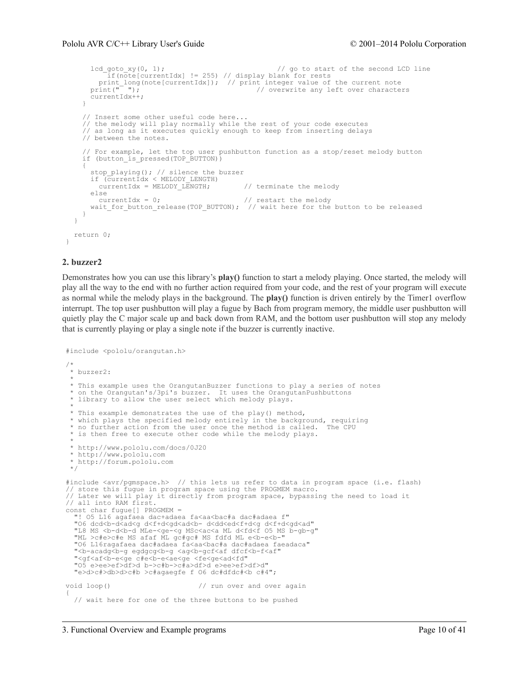```
lcd goto xy(0, 1); // go to start of the second LCD line
        if(note[currentIdx] != 255) // display blank for rests
      print long(note[currentIdx]); // print integer value of the current note
    print("\overline{\hspace{0.1cm}}"); \hspace{0.2cm} // overwrite any left over characters
    currentIdx++;
  }
  // Insert some other useful code here...
  // the melody will play normally while the rest of your code executes
  // as long as it executes quickly enough to keep from inserting delays
  // between the notes.
  // For example, let the top user pushbutton function as a stop/reset melody button
  if (button is pressed(TOP BUTTON))
  {
    stop playing(); // silence the buzzer
    if (currentIdx < MELODY_LENGTH)
     currentIdx = MELODY LENGTH; // terminate the melody
    else<br>currentIdx = 0;// restart the melody
    wait for button release(TOP_BUTTON); // wait here for the button to be released
 }
}
return 0;
```
#### **2. buzzer2**

}

Demonstrates how you can use this library's **play()** function to start a melody playing. Once started, the melody will play all the way to the end with no further action required from your code, and the rest of your program will execute as normal while the melody plays in the background. The **play()** function is driven entirely by the Timer1 overflow interrupt. The top user pushbutton will play a fugue by Bach from program memory, the middle user pushbutton will quietly play the C major scale up and back down from RAM, and the bottom user pushbutton will stop any melody that is currently playing or play a single note if the buzzer is currently inactive.

```
#include <pololu/orangutan.h>
/*
* buzzer2:
 *
 * This example uses the OrangutanBuzzer functions to play a series of notes
 * on the Orangutan's/3pi's buzzer. It uses the OrangutanPushbuttons
 * library to allow the user select which melody plays.
 *
 * This example demonstrates the use of the play() method,
 * which plays the specified melody entirely in the background, requiring
  mo further action from the user once the method is called. The CPU
 * is then free to execute other code while the melody plays.
 *
 * http://www.pololu.com/docs/0J20
 * http://www.pololu.com
 * http://forum.pololu.com
 */
#include <avr/pgmspace.h> // this lets us refer to data in program space (i.e. flash)
// store this fugue in program space using the PROGMEM macro.
// Later we will play it directly from program space, bypassing the need to load it
// all into RAM first.
const char fugue[] PROGMEM =
  "! O5 L16 agafaea dac+adaea fa<aa<br/>bac#a dac#adaea f"
  "O6 dcd<b-d<ad<g d<f+d<gd<ad<b- d<dd<ed<f+d<g d<f+d<gd<ad"
  "L8 MS <b-d<b-d MLe-<ge-<g MSc<ac<a ML d<fd<f 05 MS b-gb-g"
  "ML >c#e>c#e MS afaf ML gc#gc# MS fdfd ML e<b-e<b-"
  "O6 L16ragafaea dac#adaea fa<aa<bac#a dac#adaea faeadaca"
  "<b-acadg<b-g egdgcg<b-g <ag<b-gcf<af dfcf<br/>>b-f<af"
  "<gf<af<b-e<ge c#e<b-e<ae<ge <fe<ge<ad<fd"
  "O5 e>ee>ef>df>d b->c#b->c#a>df>d e>ee>ef>df>d"
  "e>d>c#>db>d>c#b >c#agaegfe f O6 dc#dfdc#<b c#4";
void loop() \frac{1}{2} // run over and over again
{
  // wait here for one of the three buttons to be pushed
```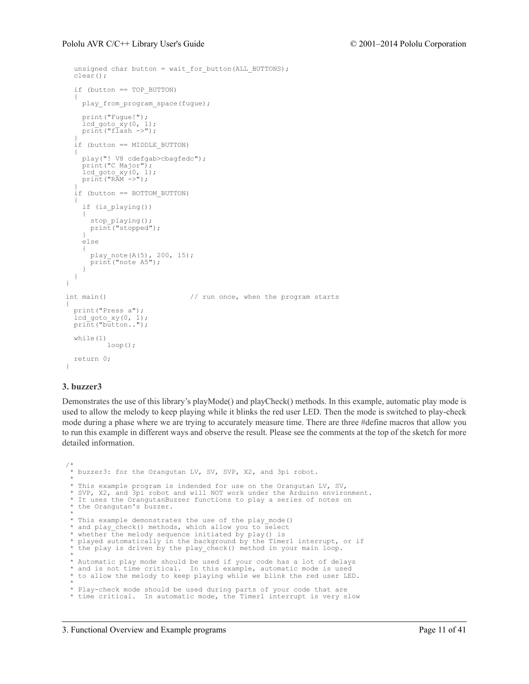```
unsigned char button = wait for button(ALL_BUTTONS);
  clear();
  if (button == TOP_BUTTON)
  {
   play_from_program_space(fugue);
   print("Fugue!");
    lcd goto xy(0, 1);print("f\bar{1}ash ->");
  }
  if (button == MIDDLE_BUTTON)
  {
    play("! V8 cdefgab>cbagfedc");
    print("C Major");
    lcd goto xy(0, 1);print("RAM ->");
  }
  if (button == BOTTOM_BUTTON)
  {
    if (is_playing())
    {
      stop playing();
      print("stopped");
    }
    else
    {
      play note(A(5), 200, 15);
      print("note A5");
    }
 }
}
int main() \frac{1}{2} // run once, when the program starts
{
 print("Press a");
  lcd goto xy(0, 1);print("button..");
 while(1)
          loop();
 return 0;
}
```
# **3. buzzer3**

Demonstrates the use of this library's playMode() and playCheck() methods. In this example, automatic play mode is used to allow the melody to keep playing while it blinks the red user LED. Then the mode is switched to play-check mode during a phase where we are trying to accurately measure time. There are three #define macros that allow you to run this example in different ways and observe the result. Please see the comments at the top of the sketch for more detailed information.

```
/*
 * buzzer3: for the Orangutan LV, SV, SVP, X2, and 3pi robot.
 *
 * This example program is indended for use on the Orangutan LV, SV,
* SVP, X2, and 3pi robot and will NOT work under the Arduino environment.
 * It uses the OrangutanBuzzer functions to play a series of notes on
 * the Orangutan's buzzer.
 *
 * This example demonstrates the use of the play_mode()
 * and play check() methods, which allow you to select
 * whether the melody sequence initiated by play() is
 * played automatically in the background by the Timer1 interrupt, or if
 * the play is driven by the play_check() method in your main loop.
 *
 * Automatic play mode should be used if your code has a lot of delays
 * and is not time critical. In this example, automatic mode is used
 * to allow the melody to keep playing while we blink the red user LED.
 *
 * Play-check mode should be used during parts of your code that are
 * time critical. In automatic mode, the Timer1 interrupt is very slow
```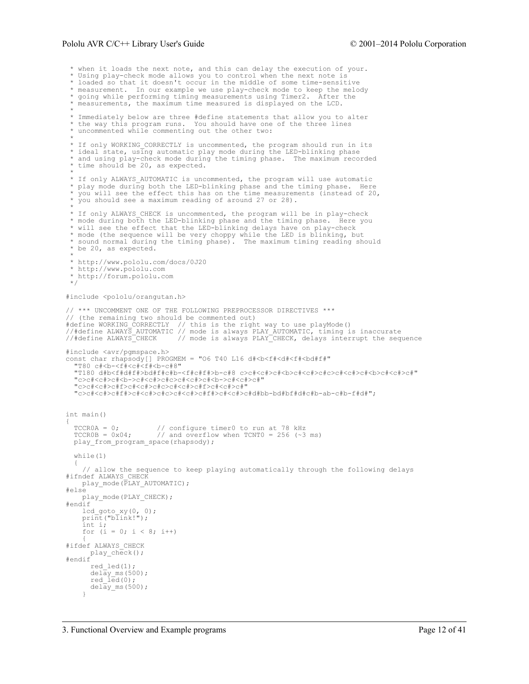\* when it loads the next note, and this can delay the execution of your. \* Using play-check mode allows you to control when the next note is \* loaded so that it doesn't occur in the middle of some time-sensitive \* measurement. In our example we use play-check mode to keep the melody going while performing timing measurements using Timer2. After the \* measurements, the maximum time measured is displayed on the LCD. \* \* Immediately below are three #define statements that allow you to alter \* the way this program runs. You should have one of the three lines \* uncommented while commenting out the other two: \* \* If only WORKING CORRECTLY is uncommented, the program should run in its \* ideal state, using automatic play mode during the LED-blinking phase \* and using play-check mode during the timing phase. The maximum recorded \* time should be 20, as expected. \* \* If only ALWAYS AUTOMATIC is uncommented, the program will use automatic play mode during both the LED-blinking phase and the timing phase. Here \* you will see the effect this has on the time measurements (instead of 20, you should see a maximum reading of around 27 or 28). \* \* If only ALWAYS\_CHECK is uncommented, the program will be in play-check \* mode during both the LED-blinking phase and the timing phase. Here you \* will see the effect that the LED-blinking delays have on play-check \* mode (the sequence will be very choppy while the LED is blinking, but \* sound normal during the timing phase). The maximum timing reading should \* be 20, as expected. \* \* http://www.pololu.com/docs/0J20 \* http://www.pololu.com \* http://forum.pololu.com \*/ #include <pololu/orangutan.h> // \*\*\* UNCOMMENT ONE OF THE FOLLOWING PREPROCESSOR DIRECTIVES \*\*\* // (the remaining two should be commented out) #define WORKING CORRECTLY // this is the right way to use playMode() //#define ALWAYS\_AUTOMATIC // mode is always PLAY\_AUTOMATIC, timing is inaccurate //#define ALWAYS\_CHECK // mode is always PLAY\_CHECK, delays interrupt the sequence #include <avr/pgmspace.h> const char rhapsody[] PROGMEM = "O6 T40 L16 d#<br d#<t#<t#<br />t#t#" "T80 c#<b-<f#<c#<f#<b-c#8" "T180 d#b<f#d#f#>bd#f#c#b-<f#c#f#>b-c#8 c>c#<c#>c#<b>c#<c#>c#c>c#<c#>c#<b>c#<c#>c#" "c>c#<c#>c#<b->c#<c#>c#c>c#<c#>c#<b->c#<c#>c#" "c>c#<c#>c#f>c#<c#>c#c>c#<c#>c#f>c#<c#>c#" "c>c#<c#>c#f#>c#<c#>c#c>c#<c#>c#f#>c#<c#>c#d#bb-bd#bf#d#c#b-ab-c#b-f#d#"; int main() { TCCR0A =  $0$ ; // configure timer0 to run at 78 kHz<br>TCCR0B =  $0x04$ ; // and overflow when TCNT0 = 256 (~3)  $1/$  and overflow when TCNT0 = 256 (~3 ms) play from program space(rhapsody); while(1) { // allow the sequence to keep playing automatically through the following delays #ifndef ALWAYS CHECK play\_mode(PLAY\_AUTOMATIC); #else play\_mode(PLAY\_CHECK); #endif lcd  $qotoxy(0, 0);$  $print$ (" $blink$ !"); int i; for  $(i = 0; i < 8; i++)$ #ifdef ALWAYS CHECK #ifdef ALWAYS\_CHECK play\_check(); #endif red\_led(1);  $del\overline{ay}$ \_ms(500); red  $l\bar{ed}(0)$ ; delay ms (500); }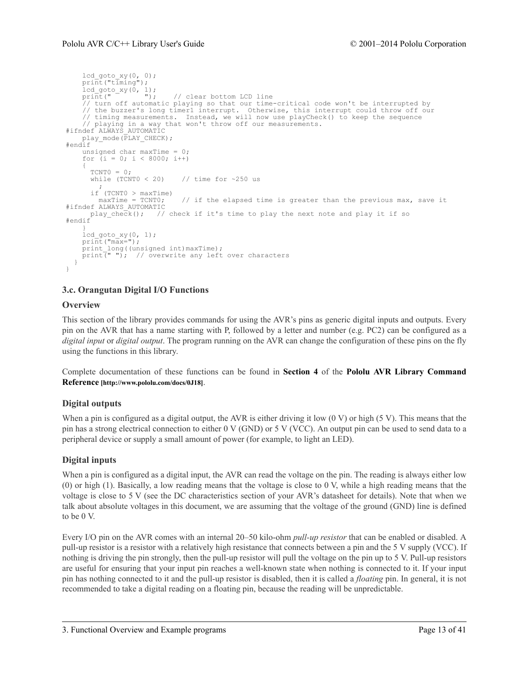```
lcd qotoxy(0, 0);print("timing");
   lcd\_goto\_xy(0, 1);<br>print(" ");
                            // clear bottom LCD line
    // turn off automatic playing so that our time-critical code won't be interrupted by
    // the buzzer's long timer1 interrupt. Otherwise, this interrupt could throw off our
    // timing measurements. Instead, we will now use playCheck() to keep the sequence
    // playing in a way that won't throw off our measurements.
#ifndef ALWAYS_AUTOMATIC
    play_mode(PLAY_CHECK);
#endif
    unsigned char maxTime = 0;
    for (i = 0; i < 8000; i++){
      TCNT0 = 0;while (TCNT0 < 20) \frac{1}{\sqrt{250}} time for ~250 us
         ;
      if (TCNT0 > maxTime)
maxTime = TCNT0; // if the elapsed time is greater than the previous max, save it<br>#ifndef ALWAYS AUTOMATIC
#ifndef ALWAYS_AUTOMATIC
      play check(); \quad // check if it's time to play the next note and play it if so
#endif
    }
    lcd goto xy(0, 1);print("max=");
   print_long((unsigned int)maxTime);
   \text{print}(\overline{N}, \overline{N}); // overwrite any left over characters
  }
}
```
# <span id="page-12-0"></span>**3.c. Orangutan Digital I/O Functions**

# **Overview**

This section of the library provides commands for using the AVR's pins as generic digital inputs and outputs. Every pin on the AVR that has a name starting with P, followed by a letter and number (e.g. PC2) can be configured as a *digital input* or *digital output*. The program running on the AVR can change the configuration of these pins on the fly using the functions in this library.

Complete documentation of these functions can be found in **[Section](http://www.pololu.com/docs/0J18/4) 4** of the **Pololu AVR Library [Command](http://www.pololu.com/docs/0J18) Reference [\[http://www.pololu.com/docs/0J18\]](http://www.pololu.com/docs/0J18)**.

# **Digital outputs**

When a pin is configured as a digital output, the AVR is either driving it low  $(0 V)$  or high (5 V). This means that the pin has a strong electrical connection to either 0 V (GND) or 5 V (VCC). An output pin can be used to send data to a peripheral device or supply a small amount of power (for example, to light an LED).

# **Digital inputs**

When a pin is configured as a digital input, the AVR can read the voltage on the pin. The reading is always either low (0) or high (1). Basically, a low reading means that the voltage is close to 0 V, while a high reading means that the voltage is close to 5 V (see the DC characteristics section of your AVR's datasheet for details). Note that when we talk about absolute voltages in this document, we are assuming that the voltage of the ground (GND) line is defined to be 0 V.

Every I/O pin on the AVR comes with an internal 20–50 kilo-ohm *pull-up resistor* that can be enabled or disabled. A pull-up resistor is a resistor with a relatively high resistance that connects between a pin and the 5 V supply (VCC). If nothing is driving the pin strongly, then the pull-up resistor will pull the voltage on the pin up to 5 V. Pull-up resistors are useful for ensuring that your input pin reaches a well-known state when nothing is connected to it. If your input pin has nothing connected to it and the pull-up resistor is disabled, then it is called a *floating* pin. In general, it is not recommended to take a digital reading on a floating pin, because the reading will be unpredictable.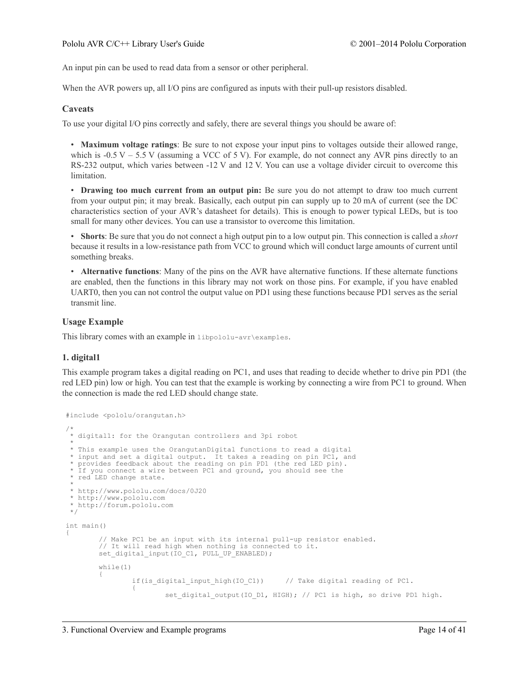An input pin can be used to read data from a sensor or other peripheral.

When the AVR powers up, all I/O pins are configured as inputs with their pull-up resistors disabled.

# **Caveats**

To use your digital I/O pins correctly and safely, there are several things you should be aware of:

• **Maximum voltage ratings**: Be sure to not expose your input pins to voltages outside their allowed range, which is  $-0.5$  V  $-5.5$  V (assuming a VCC of 5 V). For example, do not connect any AVR pins directly to an RS-232 output, which varies between -12 V and 12 V. You can use a voltage divider circuit to overcome this limitation.

• **Drawing too much current from an output pin:** Be sure you do not attempt to draw too much current from your output pin; it may break. Basically, each output pin can supply up to 20 mA of current (see the DC characteristics section of your AVR's datasheet for details). This is enough to power typical LEDs, but is too small for many other devices. You can use a transistor to overcome this limitation.

• **Shorts**: Be sure that you do not connect a high output pin to a low output pin. This connection is called a *short* because it results in a low-resistance path from VCC to ground which will conduct large amounts of current until something breaks.

• **Alternative functions**: Many of the pins on the AVR have alternative functions. If these alternate functions are enabled, then the functions in this library may not work on those pins. For example, if you have enabled UART0, then you can not control the output value on PD1 using these functions because PD1 serves as the serial transmit line.

# **Usage Example**

This library comes with an example in libpololu-avr\examples.

# **1. digital1**

This example program takes a digital reading on PC1, and uses that reading to decide whether to drive pin PD1 (the red LED pin) low or high. You can test that the example is working by connecting a wire from PC1 to ground. When the connection is made the red LED should change state.

```
#include <pololu/orangutan.h>
/*
 * digital1: for the Orangutan controllers and 3pi robot
 *
 * This example uses the OrangutanDigital functions to read a digital
 * input and set a digital output. It takes a reading on pin PC1, and
* provides feedback about the reading on pin PD1 (the red LED pin).
 * If you connect a wire between PC1 and ground, you should see the
 * red LED change state.
 *
 * http://www.pololu.com/docs/0J20
 * http://www.pololu.com
 * http://forum.pololu.com
 */
int main()
{
         // Make PC1 be an input with its internal pull-up resistor enabled.
         // It will read high when nothing is connected to it.
        set digital input(IO C1, PULL UP ENABLED);
        while(1)
         {
                  if(is digital input high(IO C1)) // Take digital reading of PC1.
                  {
                          set digital output(IO D1, HIGH); // PC1 is high, so drive PD1 high.
```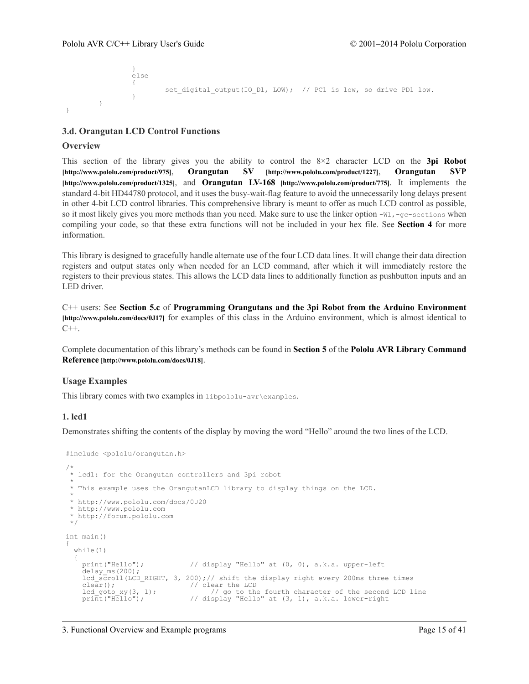```
}
                 else
                {
                         set digital output(IO D1, LOW); // PC1 is low, so drive PD1 low.
                 }
        }
}
```
# <span id="page-14-0"></span>**3.d. Orangutan LCD Control Functions**

#### **Overview**

This section of the library gives you the ability to control the 8×2 character LCD on the **3pi [Robot](http://www.pololu.com/product/975) [\[http://www.pololu.com/product/975\]](http://www.pololu.com/product/975)**, **Orangutan SV [\[http://www.pololu.com/product/1227\]](http://www.pololu.com/product/1227)**, **[Orangutan](http://www.pololu.com/product/1325) SVP [\[http://www.pololu.com/product/1325\]](http://www.pololu.com/product/1325)**, and **Orangutan LV-168 [\[http://www.pololu.com/product/775\]](http://www.pololu.com/product/775)**. It implements the standard 4-bit HD44780 protocol, and it uses the busy-wait-flag feature to avoid the unnecessarily long delays present in other 4-bit LCD control libraries. This comprehensive library is meant to offer as much LCD control as possible, so it most likely gives you more methods than you need. Make sure to use the linker option  $-w1$ , -gc-sections when compiling your code, so that these extra functions will not be included in your hex file. See **[Section](#page-35-0) 4** for more information.

This library is designed to gracefully handle alternate use of the four LCD data lines. It will change their data direction registers and output states only when needed for an LCD command, after which it will immediately restore the registers to their previous states. This allows the LCD data lines to additionally function as pushbutton inputs and an LED driver.

C++ users: See **[Section](http://www.pololu.com/docs/0J17/5.c) 5.c** of **[Programming](http://www.pololu.com/docs/0J17) Orangutans and the 3pi Robot from the Arduino Environment [\[http://www.pololu.com/docs/0J17\]](http://www.pololu.com/docs/0J17)** for examples of this class in the Arduino environment, which is almost identical to  $C++$ .

Complete documentation of this library's methods can be found in **[Section](http://www.pololu.com/docs/0J18/5) 5** of the **Pololu AVR Library [Command](http://www.pololu.com/docs/0J18) Reference [\[http://www.pololu.com/docs/0J18\]](http://www.pololu.com/docs/0J18)**.

#### **Usage Examples**

This library comes with two examples in libpololu-avr\examples.

#### **1. lcd1**

Demonstrates shifting the contents of the display by moving the word "Hello" around the two lines of the LCD.

```
#include <pololu/orangutan.h>
```

```
/*
 * lcd1: for the Orangutan controllers and 3pi robot
 *
 * This example uses the OrangutanLCD library to display things on the LCD.
 *
 * http://www.pololu.com/docs/0J20
   http://www.pololu.com
   http://forum.pololu.com
 */
int main()
{
  while(1)
   {
    print("Hello"); // display "Hello" at (0, 0), a.k.a. upper-left
     delay_ms(200);
    lcd scroll(LCD_RIGHT, 3, 200);// shift the display right every 200ms three times
    \text{cl}_1(\text{col}_1)<br>
\text{led\_goto\_xy(3, 1)};<br>
\text{rel}_2(\text{col}_2);<br>
\text{rel}_3(\text{col}_1);
     lcd_goto_xy(3, 1); \frac{1}{2} // go to the fourth character of the second LCD line print("Hello"); \frac{1}{2} // display "Hello" at (3, 1), a.k.a. lower-right
                                    // display "Hello" at (3, 1), a.k.a. lower-right
```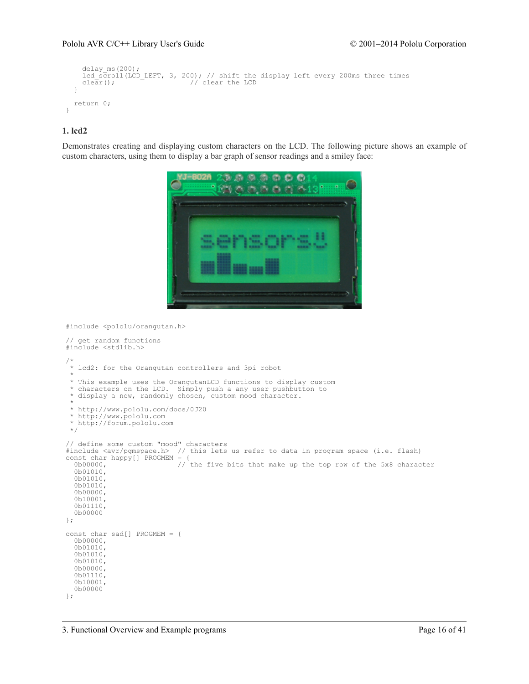```
delay ms(200);
  lcd scroll(LCD LEFT, 3, 200); // shift the display left every 200ms three times
  \text{clear}(); \qquad \qquad // \text{ clear the LCD}}
return 0;
```
# **1. lcd2**

}

Demonstrates creating and displaying custom characters on the LCD. The following picture shows an example of custom characters, using them to display a bar graph of sensor readings and a smiley face:



#include <pololu/orangutan.h>

```
// get random functions
#include <stdlib.h>
/*
 * lcd2: for the Orangutan controllers and 3pi robot
 *
 * This example uses the OrangutanLCD functions to display custom
 * characters on the LCD. Simply push a any user pushbutton to
 * display a new, randomly chosen, custom mood character.
 *
 * http://www.pololu.com/docs/0J20
 * http://www.pololu.com
 * http://forum.pololu.com
 */
// define some custom "mood" characters
#include <avr/pgmspace.h> // this lets us refer to data in program space (i.e. flash)
const char happy[] PROGMEM = {<br>0b00000, //
                          1/ the five bits that make up the top row of the 5x8 character
  0b01010,
  0b01010,
  0b01010,
  0b00000<sub>,</sub>
  0b10001,
  0b01110,
  0b00000
};
const char sad[] PROGMEM = {
  0b00000,
  0b01010,
  0b01010,
  0b01010,
  0b00000,
  0b01110,
  0b10001,
  0b00000
};
```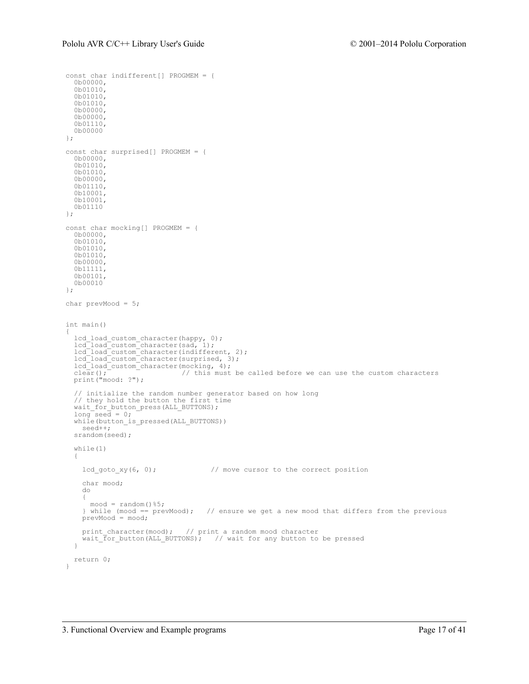```
const char indifferent[] PROGMEM = {
  0b00000,
  0b01010,
  0b01010,
  0b01010,
  0b00000,
  0b00000.
  0b01110,
  0b00000
};
const char surprised[] PROGMEM = {
  0b00000,
  0b01010,
  0b01010,
  0b00000,
  0b01110,
  0b10001,
  0b10001,
  0b01110
};
const char mocking[] PROGMEM = {
  0b00000,
  0b01010,
  0b01010,
  0b01010,
  0b00000,0b11111,
  0b00101,
  0b00010
};
char prevMood = 5;
int main()
{
  lcd load custom character(happy, 0);
  lcd<sup>-</sup>load<sup>-</sup>custom<sup>-</sup>character(sad, 1);
  lcd<sup>-</sup>load<sup>-</sup>custom<sup>-</sup>character(indifferent, 2);
  lcd<sup>-</sup>load<sup>-</sup>custom<sup>-</sup>character(surprised, 3);
  lcd_load_custom_character(mocking, 4);
  clear(); \bar{a} \bar{b} \bar{c} // this must be called before we can use the custom characters
  print("mood: ?");
  // initialize the random number generator based on how long
  // they hold the button the first time
  wait for button press(ALL BUTTONS);
  long\_seed = 0;while(button is pressed(ALL_BUTTONS))
    seed++;
  srandom(seed);
  while(1)
  {
    lcd goto xy(6, 0); // move cursor to the correct position
    char mood;
    do
    \left\{ \right.mood = random()%5;
     } while (mood == prevMood); // ensure we get a new mood that differs from the previous
    prevMod = mood;print character(mood); // print a random mood character
    wait \bar{f} or button (ALL_BUTTONS); // wait for any button to be pressed
  }
  return 0;
}
```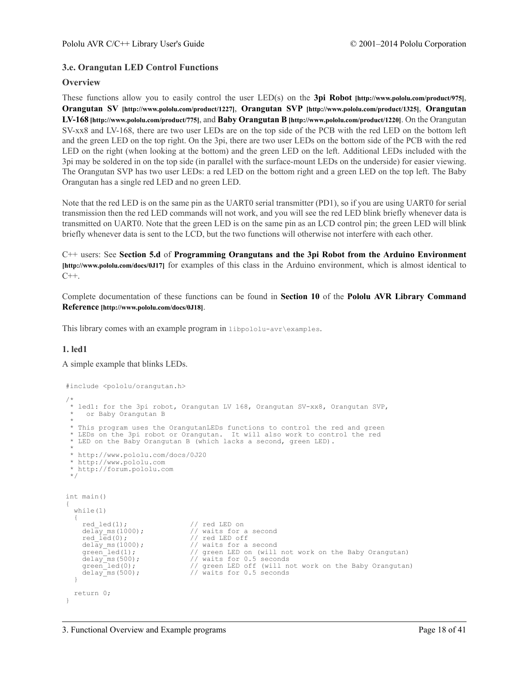# <span id="page-17-0"></span>**3.e. Orangutan LED Control Functions**

#### **Overview**

These functions allow you to easily control the user LED(s) on the **3pi Robot [\[http://www.pololu.com/product/975\]](http://www.pololu.com/product/975)**, **Orangutan SV [\[http://www.pololu.com/product/1227\]](http://www.pololu.com/product/1227)**, **Orangutan SVP [\[http://www.pololu.com/product/1325\]](http://www.pololu.com/product/1325)**, **[Orangutan](http://www.pololu.com/product/775) LV-168 [\[http://www.pololu.com/product/775\]](http://www.pololu.com/product/775)**, and **Baby Orangutan B [\[http://www.pololu.com/product/1220\]](http://www.pololu.com/product/1220)**. On the Orangutan SV-xx8 and LV-168, there are two user LEDs are on the top side of the PCB with the red LED on the bottom left and the green LED on the top right. On the 3pi, there are two user LEDs on the bottom side of the PCB with the red LED on the right (when looking at the bottom) and the green LED on the left. Additional LEDs included with the 3pi may be soldered in on the top side (in parallel with the surface-mount LEDs on the underside) for easier viewing. The Orangutan SVP has two user LEDs: a red LED on the bottom right and a green LED on the top left. The Baby Orangutan has a single red LED and no green LED.

Note that the red LED is on the same pin as the UART0 serial transmitter (PD1), so if you are using UART0 for serial transmission then the red LED commands will not work, and you will see the red LED blink briefly whenever data is transmitted on UART0. Note that the green LED is on the same pin as an LCD control pin; the green LED will blink briefly whenever data is sent to the LCD, but the two functions will otherwise not interfere with each other.

C++ users: See **[Section](http://www.pololu.com/docs/0J17/5.d) 5.d** of **[Programming](http://www.pololu.com/docs/0J17) Orangutans and the 3pi Robot from the Arduino Environment [\[http://www.pololu.com/docs/0J17\]](http://www.pololu.com/docs/0J17)** for examples of this class in the Arduino environment, which is almost identical to  $C++$ .

Complete documentation of these functions can be found in **[Section](http://www.pololu.com/docs/0J18/10) 10** of the **Pololu AVR Library [Command](http://www.pololu.com/docs/0J18) Reference [\[http://www.pololu.com/docs/0J18\]](http://www.pololu.com/docs/0J18)**.

This library comes with an example program in libpololu-avr\examples.

# **1. led1**

A simple example that blinks LEDs.

```
#include <pololu/orangutan.h>
/*
 * led1: for the 3pi robot, Orangutan LV 168, Orangutan SV-xx8, Orangutan SVP,
     or Baby Orangutan B
 *
 * This program uses the OrangutanLEDs functions to control the red and green
 * LEDs on the 3pi robot or Orangutan. It will also work to control the red
 * LED on the Baby Orangutan B (which lacks a second, green LED).
 *
 * http://www.pololu.com/docs/0J20
 * http://www.pololu.com
 * http://forum.pololu.com
 */
int main()
{
  while(1)
   {
     red_led(1); // red LED on
     delay ms(1000); \frac{1}{2} // waits for a second
    red_led(0);<br>
delay_ms(1000);<br>
// waits for a<br>
green_led(1);<br>
// green LED or<br>
delay_ms(500);<br>
// waits for 0<br>
// waits for 0
                                      // waits for a second
                                      // green LED on (will not work on the Baby Orangutan)
    delay_ms(500); <br>
\frac{1}{2} // waits for 0.5 seconds<br>
green_led(0); // green LED off (will no<br>
delay_ms(500); // waits for 0.5 seconds
     green_led(0); // green LED off (will not work on the Baby Orangutan)<br>delay_ms(500); // waits for 0.5 seconds
   }
  return 0;
}
```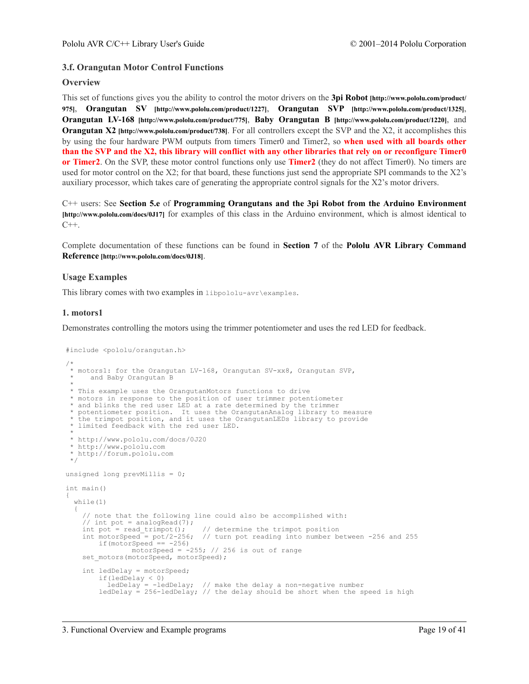# <span id="page-18-0"></span>**3.f. Orangutan Motor Control Functions**

# **Overview**

This set of functions gives you the ability to control the motor drivers on the **3pi Robot [\[http://www.pololu.com/product/](http://www.pololu.com/product/975) [975\]](http://www.pololu.com/product/975)**, **Orangutan SV [\[http://www.pololu.com/product/1227\]](http://www.pololu.com/product/1227)**, **Orangutan SVP [\[http://www.pololu.com/product/1325\]](http://www.pololu.com/product/1325)**, **Orangutan LV-168 [\[http://www.pololu.com/product/775\]](http://www.pololu.com/product/775)**, **Baby Orangutan B [\[http://www.pololu.com/product/1220\]](http://www.pololu.com/product/1220)**, and **Orangutan X2** [\[http://www.pololu.com/product/738\]](http://www.pololu.com/product/738). For all controllers except the SVP and the X2, it accomplishes this by using the four hardware PWM outputs from timers Timer0 and Timer2, so **when used with all boards other** than the SVP and the X2, this library will conflict with any other libraries that rely on or reconfigure Timer0 **or Timer2**. On the SVP, these motor control functions only use **Timer2** (they do not affect Timer0). No timers are used for motor control on the X2; for that board, these functions just send the appropriate SPI commands to the X2's auxiliary processor, which takes care of generating the appropriate control signals for the X2's motor drivers.

C++ users: See **[Section](http://www.pololu.com/docs/0J17/5.e) 5.e** of **[Programming](http://www.pololu.com/docs/0J17) Orangutans and the 3pi Robot from the Arduino Environment [\[http://www.pololu.com/docs/0J17\]](http://www.pololu.com/docs/0J17)** for examples of this class in the Arduino environment, which is almost identical to  $C++$ .

Complete documentation of these functions can be found in **[Section](http://www.pololu.com/docs/0J18/7) 7** of the **Pololu AVR Library [Command](http://www.pololu.com/docs/0J18) Reference [\[http://www.pololu.com/docs/0J18\]](http://www.pololu.com/docs/0J18)**.

# **Usage Examples**

This library comes with two examples in libpololu-avr\examples.

# **1. motors1**

Demonstrates controlling the motors using the trimmer potentiometer and uses the red LED for feedback.

```
#include <pololu/orangutan.h>
/*
 * motors1: for the Orangutan LV-168, Orangutan SV-xx8, Orangutan SVP,
      and Baby Orangutan B
 *
 * This example uses the OrangutanMotors functions to drive
 * motors in response to the position of user trimmer potentiometer
 * and blinks the red user LED at a rate determined by the trimmer
 * potentiometer position. It uses the OrangutanAnalog library to measure
 * the trimpot position, and it uses the OrangutanLEDs library to provide
 * limited feedback with the red user LED.
 *
 * http://www.pololu.com/docs/0J20
 * http://www.pololu.com
 * http://forum.pololu.com
 */
unsigned long prevMillis = 0;
int main()
{
  while(1)
  {
    // note that the following line could also be accomplished with:<br>// int pot = analogRead(7);
    // int pot = analogRead(7);
    int pot = read trimpot(); // determine the trimpot position
    int motorSpeed = pot/2-256; // turn pot reading into number between -256 and 255
        if(motorSpeed == -256)
                motorSpeed = -255; // 256 is out of range
    set motors(motorSpeed, motorSpeed);
    int ledDelay = motorSpeed;
        if(ledDelay < 0)
          ledDelay = -ledDelay; // make the delay a non-negative number
        ledDelay = 256-ledDelay; // the delay should be short when the speed is high
```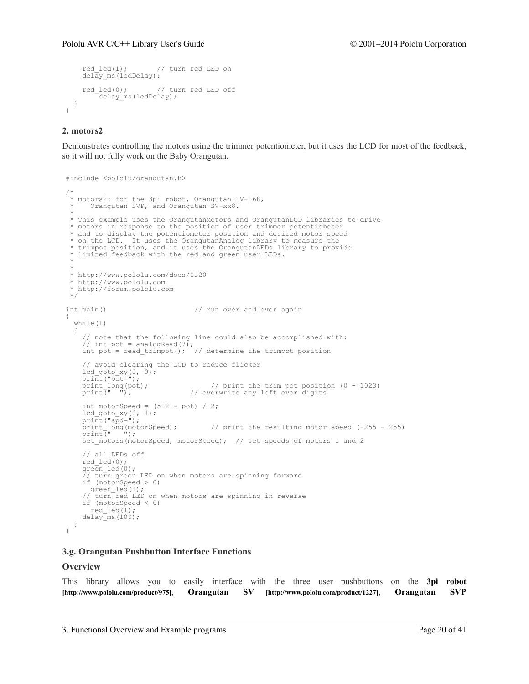```
red led(1); // turn red LED on
   delay_ms(ledDelay);red_led(0); // turn red LED off
       delay_ms(ledDelay);
 }
}
```
# **2. motors2**

Demonstrates controlling the motors using the trimmer potentiometer, but it uses the LCD for most of the feedback, so it will not fully work on the Baby Orangutan.

```
#include <pololu/orangutan.h>
/*
 * motors2: for the 3pi robot, Orangutan LV-168,
 * Orangutan SVP, and Orangutan SV-xx8.
 *
 * This example uses the OrangutanMotors and OrangutanLCD libraries to drive
 * motors in response to the position of user trimmer potentiometer
 * and to display the potentiometer position and desired motor speed
  on the LCD. It uses the OrangutanAnalog library to measure the
 * trimpot position, and it uses the OrangutanLEDs library to provide
 * limited feedback with the red and green user LEDs.
 *
 *
 * http://www.pololu.com/docs/0J20
 * http://www.pololu.com
 * http://forum.pololu.com
 */
int main() \frac{1}{2} // run over and over again
{
  while(1)
  {
    // note that the following line could also be accomplished with:
    // int pot = analogRead(7);
    int pot = read trimpot(); // determine the trimpot position
      avoid clearing the LCD to reduce flicker
    lcd goto xy(0, 0);print("pot=");<br>print_long(pot);<br>print(" ");
    print long(pot); \frac{1}{2} // print the trim pot position (0 - 1023)
    print\overline{('''''')}; // overwrite any left over digits
    int motorSpeed = (512 - \text{pot}) / 2;lcd goto xy(0, 1);print("spd=");// print the resulting motor speed (-255 - 255)
   print_long(motorSpeed);<br>print(" ");
    set motors(motorSpeed, motorSpeed); // set speeds of motors 1 and 2
    // all LEDs off
    red_led(0);
    green_led(0);
    // turn green LED on when motors are spinning forward
    if (motorSpeed > 0)
    green_led(1);<br>\frac{1}{1}turn red LED on when motors are spinning in reverse
    if (motorSpeed < 0)
      red_led(1);
    delayms(100);
  }
}
```
# <span id="page-19-0"></span>**3.g. Orangutan Pushbutton Interface Functions**

# **Overview**

This library allows you to easily interface with the three user pushbuttons on the **3pi [robot](http://www.pololu.com/product/975) [\[http://www.pololu.com/product/975\]](http://www.pololu.com/product/975)**, **Orangutan SV [\[http://www.pololu.com/product/1227\]](http://www.pololu.com/product/1227)**, **[Orangutan](http://www.pololu.com/product/1325) SVP**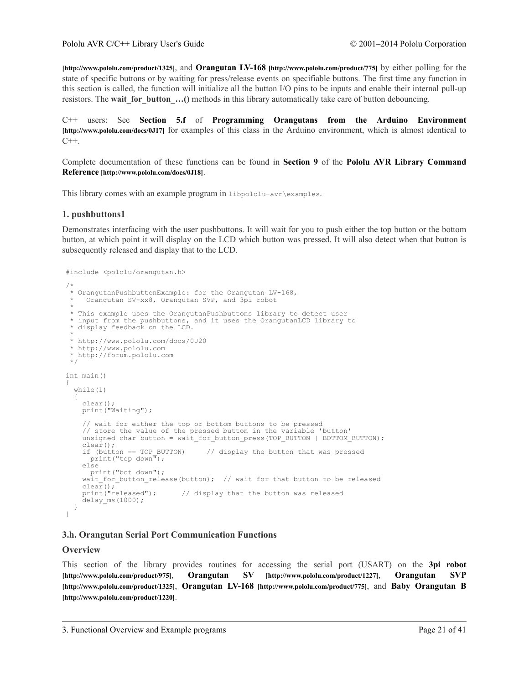**[\[http://www.pololu.com/product/1325\]](http://www.pololu.com/product/1325)**, and **Orangutan LV-168 [\[http://www.pololu.com/product/775\]](http://www.pololu.com/product/775)** by either polling for the state of specific buttons or by waiting for press/release events on specifiable buttons. The first time any function in this section is called, the function will initialize all the button I/O pins to be inputs and enable their internal pull-up resistors. The **wait for button** ...() methods in this library automatically take care of button debouncing.

C++ users: See **[Section](http://www.pololu.com/docs/0J17/5.f) 5.f** of **[Programming](http://www.pololu.com/docs/0J17) Orangutans from the Arduino Environment [\[http://www.pololu.com/docs/0J17\]](http://www.pololu.com/docs/0J17)** for examples of this class in the Arduino environment, which is almost identical to  $C++$ .

Complete documentation of these functions can be found in **[Section](http://www.pololu.com/docs/0J18/9) 9** of the **Pololu AVR Library [Command](http://www.pololu.com/docs/0J18) Reference [\[http://www.pololu.com/docs/0J18\]](http://www.pololu.com/docs/0J18)**.

This library comes with an example program in libpololu-avr\examples.

#### **1. pushbuttons1**

Demonstrates interfacing with the user pushbuttons. It will wait for you to push either the top button or the bottom button, at which point it will display on the LCD which button was pressed. It will also detect when that button is subsequently released and display that to the LCD.

#include <pololu/orangutan.h>

```
/*
 * OrangutanPushbuttonExample: for the Orangutan LV-168,
      Orangutan SV-xx8, Orangutan SVP, and 3pi robot
 *
 * This example uses the OrangutanPushbuttons library to detect user
 * input from the pushbuttons, and it uses the OrangutanLCD library to
 * display feedback on the LCD.
 *
 * http://www.pololu.com/docs/0J20
 * http://www.pololu.com
 * http://forum.pololu.com
 */
int main()
{
  while(1)
   {
     clear();
     print("Waiting");
     // wait for either the top or bottom buttons to be pressed
     // store the value of the pressed button in the variable 'button'
     unsigned char button = wait for button press(TOP_BUTTON | BOTTOM_BUTTON);
     clear();<br>if (button == TOP BUTTON)
                                               // display the button that was pressed
        print("top down");
     else
        print("bot down");
     wait for button release(button); // wait for that button to be released
     \frac{c_1}{c_1}, \frac{c_2}{c_1}, \frac{c_1}{c_2}, \frac{c_2}{c_2}, \frac{c_1}{c_2}, \frac{c_2}{c_1}, \frac{c_2}{c_2}, \frac{c_2}{c_2}, \frac{c_2}{c_2}, \frac{c_2}{c_2}, \frac{c_2}{c_2}, \frac{c_2}{c_2}, \frac{c_2}{c_2}, \frac{c_2}{c_2}, \frac{c_2}{c_2}, \frac{c_2}{c_2}, \frac{c_2}{c_2}, \frac{c_2}{c_2}, \frac{c_2}{c_2}, \frac{c_2}{c_2},// display that the button was released
     delay ms(1000);
   }
}
```
#### <span id="page-20-0"></span>**3.h. Orangutan Serial Port Communication Functions**

#### **Overview**

This section of the library provides routines for accessing the serial port (USART) on the **3pi [robot](http://www.pololu.com/product/975) [\[http://www.pololu.com/product/975\]](http://www.pololu.com/product/975)**, **Orangutan SV [\[http://www.pololu.com/product/1227\]](http://www.pololu.com/product/1227)**, **[Orangutan](http://www.pololu.com/product/1325) SVP [\[http://www.pololu.com/product/1325\]](http://www.pololu.com/product/1325)**, **Orangutan LV-168 [\[http://www.pololu.com/product/775\]](http://www.pololu.com/product/775)**, and **Baby [Orangutan](http://www.pololu.com/product/1220) B [\[http://www.pololu.com/product/1220\]](http://www.pololu.com/product/1220)**.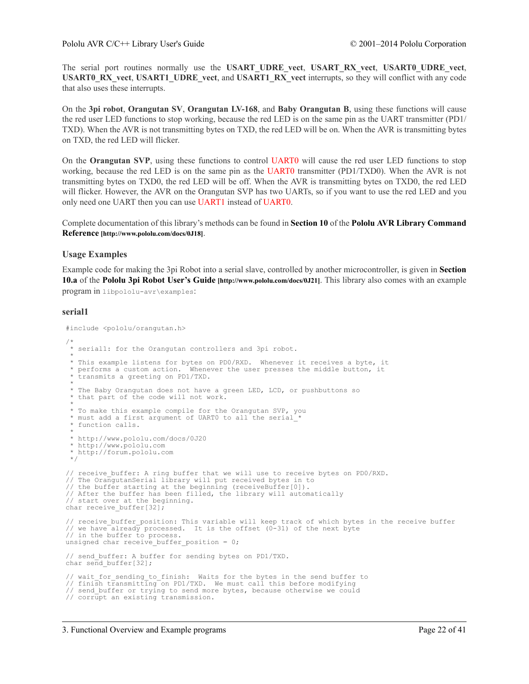The serial port routines normally use the **USART\_UDRE\_vect**, **USART\_RX\_vect**, **USART0\_UDRE\_vect**, **USART0\_RX\_vect**, **USART1\_UDRE\_vect**, and **USART1\_RX\_vect** interrupts, so they will conflict with any code that also uses these interrupts.

On the **3pi robot**, **Orangutan SV**, **Orangutan LV-168**, and **Baby Orangutan B**, using these functions will cause the red user LED functions to stop working, because the red LED is on the same pin as the UART transmitter (PD1/ TXD). When the AVR is not transmitting bytes on TXD, the red LED will be on. When the AVR is transmitting bytes on TXD, the red LED will flicker.

On the **Orangutan SVP**, using these functions to control UART0 will cause the red user LED functions to stop working, because the red LED is on the same pin as the UART0 transmitter (PD1/TXD0). When the AVR is not transmitting bytes on TXD0, the red LED will be off. When the AVR is transmitting bytes on TXD0, the red LED will flicker. However, the AVR on the Orangutan SVP has two UARTs, so if you want to use the red LED and you only need one UART then you can use UART1 instead of UART0.

Complete documentation of this library's methods can be found in **[Section](http://www.pololu.com/docs/0J18/10) 10** of the **Pololu AVR Library [Command](http://www.pololu.com/docs/0J18) Reference [\[http://www.pololu.com/docs/0J18\]](http://www.pololu.com/docs/0J18)**.

#### **Usage Examples**

Example code for making the 3pi Robot into a serial slave, controlled by another microcontroller, is given in **[Section](http://www.pololu.com/docs/0J21/10.a) [10.a](http://www.pololu.com/docs/0J21/10.a)** of the **Pololu 3pi Robot User's Guide [\[http://www.pololu.com/docs/0J21\]](http://www.pololu.com/docs/0J21)**. This library also comes with an example program in libpololu-avr\examples:

#### **serial1**

#include <pololu/orangutan.h>

```
/*
 * serial1: for the Orangutan controllers and 3pi robot.
 *
 * This example listens for bytes on PD0/RXD. Whenever it receives a byte, it
                              Whenever the user presses the middle button, it
 * performs a custom action. Whene<br>* transmits a greeting on PD1/TXD.
 *
 * The Baby Orangutan does not have a green LED, LCD, or pushbuttons so
 * that part of the code will not work.
 *
 * To make this example compile for the Orangutan SVP, you
 * must add a first argument of UART0 to all the serial_*
 * function calls.
 *
 * http://www.pololu.com/docs/0J20
 * http://www.pololu.com
 * http://forum.pololu.com
 */
// receive_buffer: A ring buffer that we will use to receive bytes on PD0/RXD.
// The OrangutanSerial library will put received bytes in to
// the buffer starting at the beginning (receiveBuffer[0]).
// After the buffer has been filled, the library will automatically
// start over at the beginning.
char receive buffer[32];
// receive buffer position: This variable will keep track of which bytes in the receive buffer
// we have already processed. It is the offset (0-31) of the next byte
// in the buffer to process.
unsigned char receive buffer position = 0;// send_buffer: A buffer for sending bytes on PD1/TXD.
char send buffer[32];
// wait_for_sending_to_finish: Waits for the bytes in the send buffer to
// finish transmitting on PD1/TXD. We must call this before modifying
// send buffer or trying to send more bytes, because otherwise we could
// corrupt an existing transmission.
```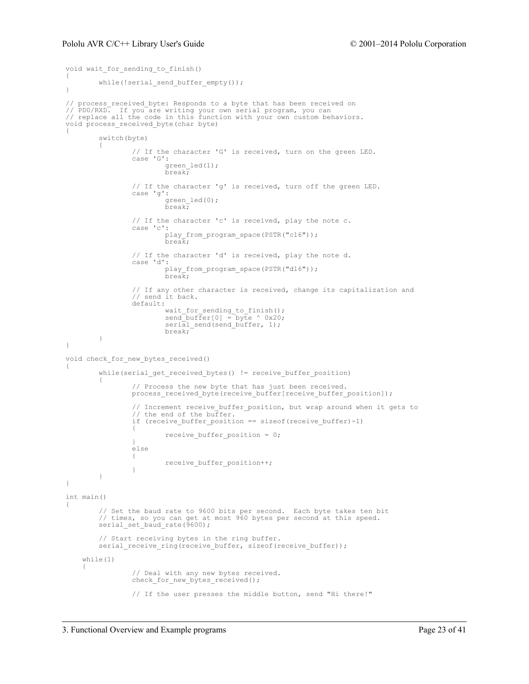```
void wait for sending to finish()
{
        while(!serial send buffer empty());
}
// process_received_byte: Responds to a byte that has been received on
// PDO/RXD. If you are writing your own serial program, you can
// replace all the code in this function with your own custom behaviors.
void process_received_byte(char byte)
{
        switch(byte)
        {
                // If the character 'G' is received, turn on the green LED.
                case 'G':
                        green led(1);
                        break;
                // If the character 'g' is received, turn off the green LED.
                case 'g':
                        green_led(0);
                        break;
                // If the character 'c' is received, play the note c.
                case 'c':
                        play from program space(PSTR("c16"));
                        break;
                // If the character 'd' is received, play the note d.
                case 'd':
                        play from program space(PSTR("d16"));
                        break;
                // If any other character is received, change its capitalization and
                // send it back.
                default:
                         wait for sending to finish();
                         send buffer[0] = byte \wedge 0x20;
                         serial send(send buffer, 1);
                        break;
        }
}
void check for new bytes received()
{
        while(serial get received bytes() != receive buffer position)
        {
                // Process the new byte that has just been received.
                process_received_byte(receive_buffer[receive_buffer position]);
                // Increment receive_buffer_position, but wrap around when it gets to
                // the end of the buffer.
                if (receive_buffer_position == sizeof(receive_buffer)-1)
                {
                        receive buffer position = 0;}
                else
                {
                        receive buffer position++;
                }
       }
}
int main()
{
        // Set the baud rate to 9600 bits per second. Each byte takes ten bit
        // times, so you can get at most 960 bytes per second at this speed.
        serial_set_baud_rate(9600);
        // Start receiving bytes in the ring buffer.
        serial_receive_ring(receive_buffer, sizeof(receive_buffer));
    while(1)
    {
                // Deal with any new bytes received.
                check_for_new_bytes_received();
                // If the user presses the middle button, send "Hi there!"
```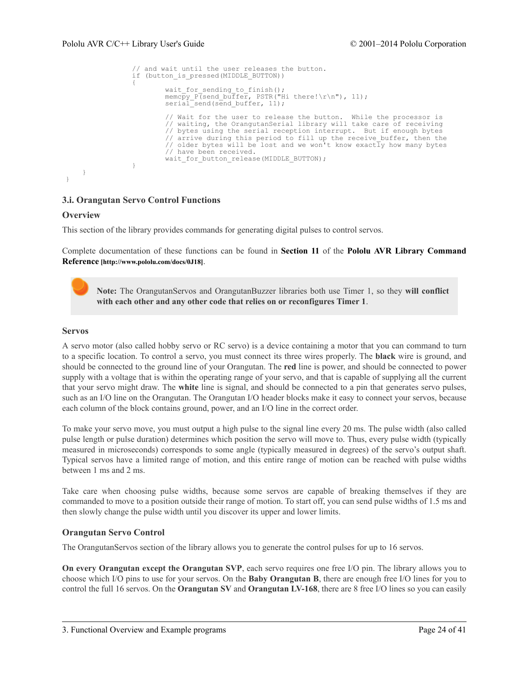```
// and wait until the user releases the button.
                if (button_is_pressed(MIDDLE_BUTTON))
                {
                        wait for sending to finish();
                        memcpy P(send buffer, PSTR("Hi there!\r\n"), 11);
                        serial_send(send_buffer, 11);
                        // Wait for the user to release the button. While the processor is
                        // waiting, the OrangutanSerial library will take care of receiving
                        // bytes using the serial reception interrupt. But if enough bytes
                        // arrive during this period to fill up the receive_buffer, then the
                        // older bytes will be lost and we won't know exactly how many bytes
                        // have been received.
                        wait for button release(MIDDLE BUTTON);
                }
   }
}
```
# <span id="page-23-0"></span>**3.i. Orangutan Servo Control Functions**

# **Overview**

This section of the library provides commands for generating digital pulses to control servos.

Complete documentation of these functions can be found in **[Section](http://www.pololu.com/docs/0J18/11) 11** of the **Pololu AVR Library [Command](http://www.pololu.com/docs/0J18) Reference [\[http://www.pololu.com/docs/0J18\]](http://www.pololu.com/docs/0J18)**.

**Note:** The OrangutanServos and OrangutanBuzzer libraries both use Timer 1, so they **will conflict with each other and any other code that relies on or reconfigures Timer 1**.

# **Servos**

A servo motor (also called hobby servo or RC servo) is a device containing a motor that you can command to turn to a specific location. To control a servo, you must connect its three wires properly. The **black** wire is ground, and should be connected to the ground line of your Orangutan. The **red** line is power, and should be connected to power supply with a voltage that is within the operating range of your servo, and that is capable of supplying all the current that your servo might draw. The **white** line is signal, and should be connected to a pin that generates servo pulses, such as an I/O line on the Orangutan. The Orangutan I/O header blocks make it easy to connect your servos, because each column of the block contains ground, power, and an I/O line in the correct order.

To make your servo move, you must output a high pulse to the signal line every 20 ms. The pulse width (also called pulse length or pulse duration) determines which position the servo will move to. Thus, every pulse width (typically measured in microseconds) corresponds to some angle (typically measured in degrees) of the servo's output shaft. Typical servos have a limited range of motion, and this entire range of motion can be reached with pulse widths between 1 ms and 2 ms.

Take care when choosing pulse widths, because some servos are capable of breaking themselves if they are commanded to move to a position outside their range of motion. To start off, you can send pulse widths of 1.5 ms and then slowly change the pulse width until you discover its upper and lower limits.

# **Orangutan Servo Control**

The OrangutanServos section of the library allows you to generate the control pulses for up to 16 servos.

**On every Orangutan except the Orangutan SVP**, each servo requires one free I/O pin. The library allows you to choose which I/O pins to use for your servos. On the **Baby Orangutan B**, there are enough free I/O lines for you to control the full 16 servos. On the **Orangutan SV** and **Orangutan LV-168**, there are 8 free I/O lines so you can easily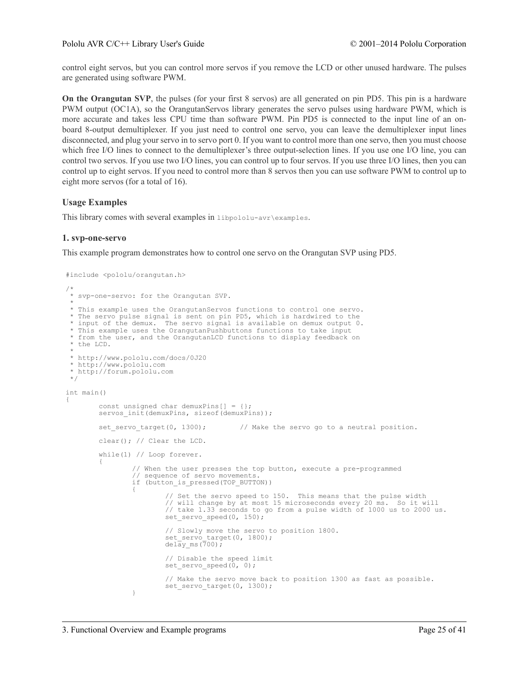control eight servos, but you can control more servos if you remove the LCD or other unused hardware. The pulses are generated using software PWM.

**On the Orangutan SVP**, the pulses (for your first 8 servos) are all generated on pin PD5. This pin is a hardware PWM output (OC1A), so the OrangutanServos library generates the servo pulses using hardware PWM, which is more accurate and takes less CPU time than software PWM. Pin PD5 is connected to the input line of an onboard 8-output demultiplexer. If you just need to control one servo, you can leave the demultiplexer input lines disconnected, and plug your servo in to servo port 0. If you want to control more than one servo, then you must choose which free I/O lines to connect to the demultiplexer's three output-selection lines. If you use one I/O line, you can control two servos. If you use two I/O lines, you can control up to four servos. If you use three I/O lines, then you can control up to eight servos. If you need to control more than 8 servos then you can use software PWM to control up to eight more servos (for a total of 16).

# **Usage Examples**

This library comes with several examples in libpololu-avr\examples.

# **1. svp-one-servo**

This example program demonstrates how to control one servo on the Orangutan SVP using PD5.

```
#include <pololu/orangutan.h>
/*
 * svp-one-servo: for the Orangutan SVP.
 *
 * This example uses the OrangutanServos functions to control one servo.
 * The servo pulse signal is sent on pin PD5, which is hardwired to the
 * input of the demux. The servo signal is available on demux output 0.
 * This example uses the OrangutanPushbuttons functions to take input
 * from the user, and the OrangutanLCD functions to display feedback on
 * the LCD.
 *
 * http://www.pololu.com/docs/0J20
 * http://www.pololu.com
 * http://forum.pololu.com
 */
int main()
{
        const unsigned char demuxPins[] = {};
        servos_init(demuxPins, sizeof(demuxPins));
        set servo target(0, 1300); // Make the servo go to a neutral position.
        clear(); // Clear the LCD.
        while(1) // Loop forever.
        {
                // When the user presses the top button, execute a pre-programmed
                // sequence of servo movements.
                if (button is pressed(TOP BUTTON))
                {
                        // Set the servo speed to 150. This means that the pulse width
                        // will change by at most 15 microseconds every 20 ms. So it will
                        // take 1.33 seconds to go from a pulse width of 1000 us to 2000 us.
                        set_servo_speed(0, 150);
                        // Slowly move the servo to position 1800.
                        set servo target(0, 1800);
                        delay ms (700);
                        // Disable the speed limit
                        set servo speed(0, 0);// Make the servo move back to position 1300 as fast as possible.
                        set servo target(0, 1300);
                }
```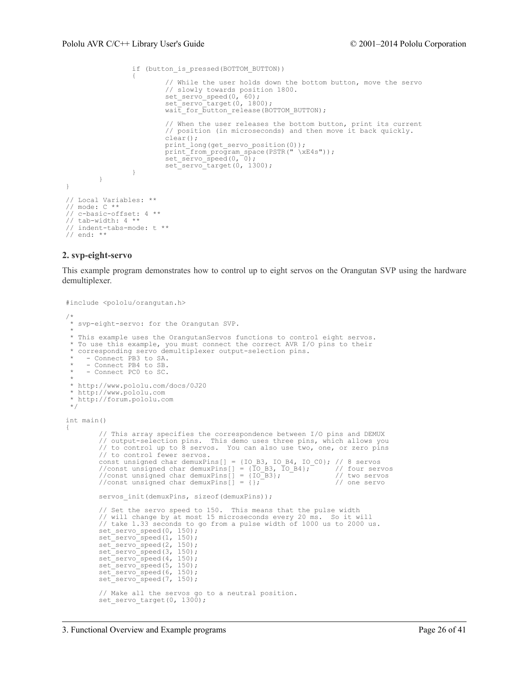```
if (button is pressed(BOTTOM BUTTON))
                  {
                          // While the user holds down the bottom button, move the servo
                          // slowly towards position 1800.
                          set servo speed(0, 60);
                          set<sup>s</sup>servo<sup>t</sup>arget(0, 1800);
                          wait for button release(BOTTOM BUTTON);
                          // When the user releases the bottom button, print its current
                          // position (in microseconds) and then move it back quickly.
                          clear();
                          print_long(get_servo_position(0));
                          print<sup>-</sup>from program space(PSTR(" \xE4s"));
                          set servo \overline{s}peed(0, 0);
                          set_servo_target(0, 1300);
                 }
        }
}
// Local Variables: **
// mode: C **
// c-basic-offset: 4 **
// tab-width: 4 **
// indent-tabs-mode: t **
// end: **
```
#### **2. svp-eight-servo**

This example program demonstrates how to control up to eight servos on the Orangutan SVP using the hardware demultiplexer.

```
#include <pololu/orangutan.h>
/*
 * svp-eight-servo: for the Orangutan SVP.
 *
 * This example uses the OrangutanServos functions to control eight servos.
 * To use this example, you must connect the correct AVR I/O pins to their
 * corresponding servo demultiplexer output-selection pins.
    - Connect PB3 to SA.
     - Connect PB4 to SB.
     - Connect PC0 to SC.
 *
 * http://www.pololu.com/docs/0J20
 * http://www.pololu.com
 * http://forum.pololu.com
 */
int main()
{
         // This array specifies the correspondence between I/O pins and DEMUX
         // output-selection pins. This demo uses three pins, which allows you
         // to control up to 8 servos. You can also use two, one, or zero pins
         // to control fewer servos.
         const unsigned char demuxPins[] = {IO B3, IO B4, IO CO}; // 8 servos
         //const unsigned char demuxPins[] = \{\overline{10}B3, \overline{10}B4\};^{\overline{\phantom{1}}\phantom{1}}/ four servos
         //const unsigned char demuxPins[] = {IO} B3}; \overline{\phantom{a}} // two servos
         //const unsigned char demuxPins[] = \{\}. \overline{\ } // one servo
         servos init(demuxPins, sizeof(demuxPins));
         // Set the servo speed to 150. This means that the pulse width
         // will change by at most 15 microseconds every 20 ms. So it will
         // take 1.33 seconds to go from a pulse width of 1000 us to 2000 us.
         set_servo_speed(0, 150);
         set<sup>-</sup>servo<sup>-</sup>speed(1, 150);
         set<sup>-</sup>servo<sup>-</sup>speed(2, 150);
         set_servo_speed(3, 150);
         set<sup>-</sup>servo<sup>-</sup>speed(4, 150);
         set<sup>-</sup>servo<sup>-</sup>speed(5, 150);
         set_servo_speed(6, 150);
        set_servo_speed(7, 150);
         // Make all the servos go to a neutral position.
        set servo target(0, 1300);
```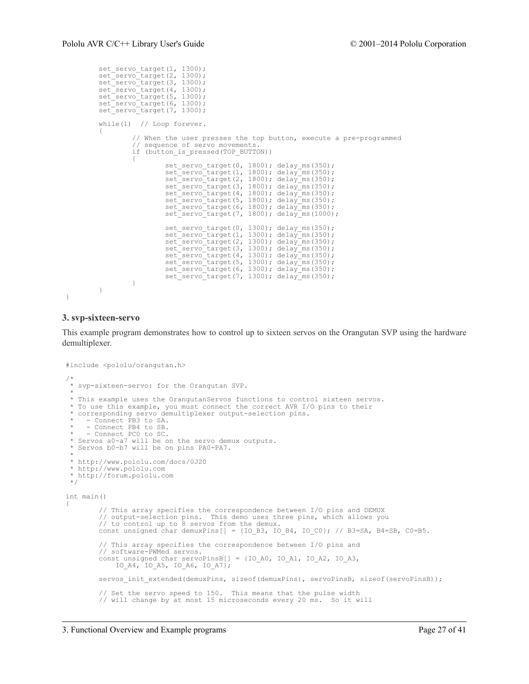```
set servo target(1, 1300);
set<sup>-</sup>servo<sup>-</sup>target(2, 1300);
set<sup>-</sup>servo<sup>-</sup>target(3, 1300);
set<sup>-</sup>servo<sup>-</sup>target(4, 1300);
set<sup>-</sup>servo<sup>-</sup>target(5, 1300);
set<sup>-</sup>servo<sup>-</sup>target(6, 1300);
set servo target(7, 1300);
while(1) // Loop forever.
{
         // When the user presses the top button, execute a pre-programmed
         // sequence of servo movements.
         if (button_is_pressed(TOP_BUTTON))
          {
                   set servo target(0, 1800); delay ms(350);
                   set set error target(1, 1800); delay ms(350);
                   set servo target(2, 1800); delay ms(350);
                   set servo target(3, 1800); delay ms(350);
                   set servo target(4, 1800); delay ms(350);
                   set servo target(5, 1800); delay ms(350);
                   set servo target(6, 1800); delay ms(350);
                   setservo\tt target(7, 1800); delayms(1000);
                  set servo target(0, 1300); delay ms(350);
                   set set error target(1, 1300); delay ms(350);
                   set set error target(2, 1300); delay ms(350);
                   set servo target(3, 1300); delay ms(350);
                   set set error target(4, 1300); delay ms(350);
                   set set error target(5, 1300); delay ms(350);
                   set servo target(6, 1300); delay ms(350);
                   set set error target(7, 1300); delay ms(350);
         }
}
```
# **3. svp-sixteen-servo**

}

This example program demonstrates how to control up to sixteen servos on the Orangutan SVP using the hardware demultiplexer.

```
#include <pololu/orangutan.h>
/*
 * svp-sixteen-servo: for the Orangutan SVP.
 *
 * This example uses the OrangutanServos functions to control sixteen servos.
 * To use this example, you must connect the correct AVR I/O pins to their
  corresponding servo demultiplexer output-selection pins.
    - Connect PB3 to SA.
    - Connect PB4 to SB.
 * - Connect PC0 to SC.
 * Servos a0-a7 will be on the servo demux outputs.
 * Servos b0-b7 will be on pins PA0-PA7.
 *
* http://www.pololu.com/docs/0J20
 * http://www.pololu.com
 * http://forum.pololu.com
 */
int main()
{
        // This array specifies the correspondence between I/O pins and DEMUX
        // output-selection pins. This demo uses three pins, which allows you
        // to control up to 8 servos from the demux.
        const unsigned char demuxPins[] = {IO_B3, IO_B4, IO_C0}; // B3=SA, B4=SB, C0=B5.
        // This array specifies the correspondence between I/O pins and
        // software-PWMed servos.
        const unsigned char servoPinsB[] = {IO A0, IO A1, IO A2, IO A3,
            IO_A4, IO_A5, IO_A6, IO_A7};
        servos init extended(demuxPins, sizeof(demuxPins), servoPinsB, sizeof(servoPinsB));
        // Set the servo speed to 150. This means that the pulse width
        // will change by at most 15 microseconds every 20 ms. So it will
```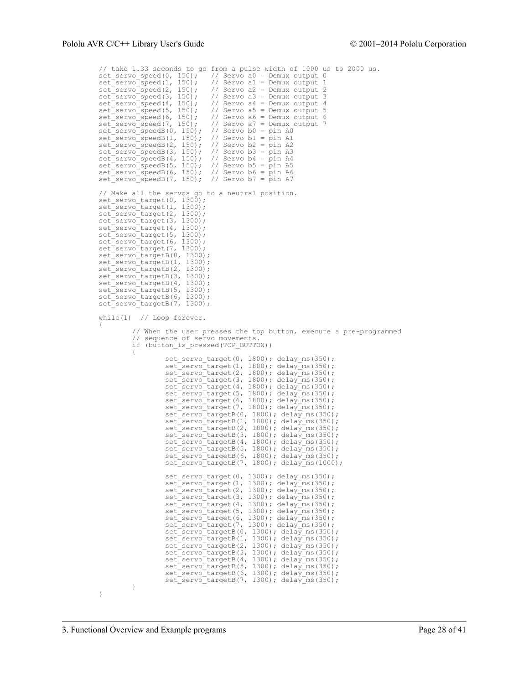```
// take 1.33 seconds to go from a pulse width of 1000 us to 2000 us.
set servo speed(0, 150); // Servo a0 = Demux output 0
set_servo_speed(1, 150); // Servo a1 = Demux output 1<br>set_servo_speed(2, 150); // Servo a2 = Demux output 2
set servo speed(2, 150); // Servo a2 = Demux output 2
set servo speed(3, 150); // Servo a3 = Demux output 3
set servo speed(4, 150); // Servo a4 = Demux output 4
set servo speed(5, 150); // Servo a5 = Demux output 5
set servo speed(6, 150); // Servo a6 = Demux output 6
set_servo_speed(5, 150); // Servo a5 = Demux output 5<br>set_servo_speed(6, 150); // Servo a6 = Demux output 6<br>set_servo_speed(7, 150); // Servo a7 = Demux output 7<br>set_servo_speedB(0, 150); // Servo b0 = pin A0<br>set_servo_sp
set\_servo\_speedB(0, 150);set servo speedB(1, 150); // Servo b1 = pin A1
set servo speedB(2, 150); // Servo b2 = pin A2
set servo speedB(3, 150); // Servo b3 = pin A3
set servo speedB(4, 150); // Servo b4 = pin A4
set servo speedB(5, 150); // Servo b5 = pin A5
set servo speedB(6, 150); // Servo b6 = pin A6
set servo speedB(7, 150); // Servo b7 = pin A7
// Make all the servos go to a neutral position.
set servo target(0, 1300);
set_servo_target(1, 1300);
set<sup>-</sup>servo<sup>-</sup>target(2, 1300);
set<sup>-</sup>servo<sup>-</sup>target(3, 1300);
set<sup>-</sup>servo<sup>-</sup>target(4, 1300);
set<sup>-</sup>servo<sup>-</sup>target(5, 1300);
set<sup>-</sup>servo<sup>-</sup>target(6, 1300);
set<sup>-</sup>servo<sup>-</sup>target(7, 1300);
set<sup>-</sup>servo<sup>-</sup>targetB(0, 1300);
set<sup>-</sup>servo<sup>-</sup>targetB(1, 1300);
set_servo_targetB(2, 1300);
set<sup>-</sup>servo<sup>-</sup>targetB(3, 1300);
set<sup>-</sup>servo<sup>-</sup>targetB(4, 1300);
set_servo_targetB(5, 1300);
set<sup>-</sup>servo<sup>-</sup>targetB(6, 1300);
set<sup>-</sup>servo<sup>-</sup>targetB(7, 1300);
while(1) // Loop forever.
{
           // When the user presses the top button, execute a pre-programmed
           // sequence of servo movements.
           if (button is pressed(TOP BUTTON))
           {
                     set servo target(0, 1800); delay ms(350);
                     set set error target(1, 1800); delay ms(350);
                     set servo target(2, 1800); delay ms(350);
                     set servo target(3, 1800); delay ms(350);
                     set servo target(4, 1800); delay ms(350);
                    set_servo_target(5, 1800); delay_ms(350);
                     set servo target(6, 1800); delay ms(350);
                     set set error target(7, 1800); delay ms(350);
                     set servo targetB(0, 1800); delay ms(350);
                     set<sup>-</sup>servo<sup>-</sup>targetB(1, 1800); delay<sup>-</sup>ms(350);
                     set<sup>-</sup>servo<sup>-</sup>targetB(2, 1800); delay<sup>-</sup>ms(350);
                     set<sup>-</sup>servo<sup>-</sup>targetB(3, 1800); delay<sup>-</sup>ms(350);
                     set servo targetB(4, 1800); delay ms(350);
                     set<sup>-</sup>servo<sup>-</sup>targetB(5, 1800); delay<sup>-</sup>ms(350);
                     set_servo_targetB(6, 1800); delay_ms(350);<br>set_servo_targetB(7, 1800); delay_ms(1000);
                     set servo target(0, 1300); delay ms(350);
                     set set error target(1, 1300); delay ms(350);
                     set set error target(2, 1300); delay ms(350);
                     set servo target(3, 1300); delay ms(350);
                     set set error target(4, 1300); delay ms(350);
                     set set error target(5, 1300); delay ms(350);
                     set servo target(6, 1300); delay ms(350);
                     set set error target(7, 1300); delay ms(350);
                     set servo targetB(0, 1300); delay ms(350);
                     set set error targetB(1, 1300); delay ms(350);
                     set set error targetB(2, 1300); delay ms(350);
                     set<sup>-</sup>servo<sup>-</sup>targetB(3, 1300); delay<sup>-</sup>ms(350);
                     set set error targetB(4, 1300); delay ms (350);
                     set<sup>-</sup>servo<sup>-</sup>targetB(5, 1300); delay<sup>-</sup>ms(350);
                     set<sup>-</sup>servo<sup>-</sup>targetB(6, 1300); delay<sup>-</sup>ms(350);
                    set_servo_targetB(7, 1300); delay_ms(350);
          }
```
}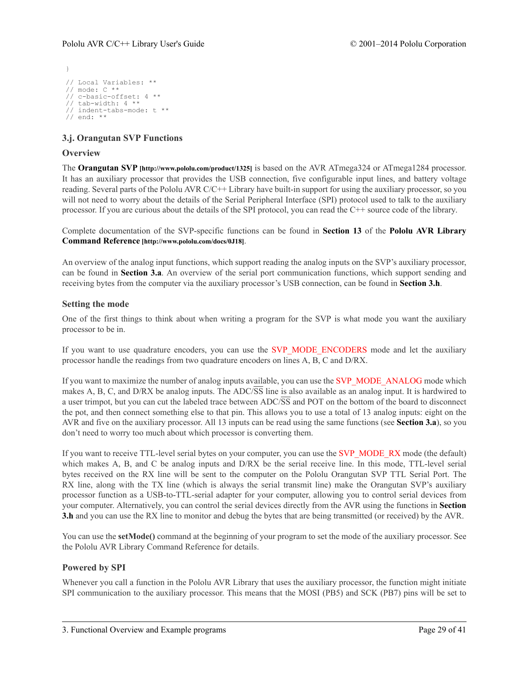```
}
// Local Variables: **
// mode: C **
// c-basic-offset: 4 **
// tab-width: 4 *// indent-tabs-mode: t **
// end: **
```
# <span id="page-28-0"></span>**3.j. Orangutan SVP Functions**

# **Overview**

The **Orangutan SVP [\[http://www.pololu.com/product/1325\]](http://www.pololu.com/product/1325)** is based on the AVR ATmega324 or ATmega1284 processor. It has an auxiliary processor that provides the USB connection, five configurable input lines, and battery voltage reading. Several parts of the Pololu AVR C/C++ Library have built-in support for using the auxiliary processor, so you will not need to worry about the details of the Serial Peripheral Interface (SPI) protocol used to talk to the auxiliary processor. If you are curious about the details of the SPI protocol, you can read the C++ source code of the library.

Complete documentation of the SVP-specific functions can be found in **[Section](http://www.pololu.com/docs/0J18/13) 13** of the **Pololu AVR [Library](http://www.pololu.com/docs/0J18) Command Reference [\[http://www.pololu.com/docs/0J18\]](http://www.pololu.com/docs/0J18)**.

An overview of the analog input functions, which support reading the analog inputs on the SVP's auxiliary processor, can be found in **[Section](#page-5-1) 3.a**. An overview of the serial port communication functions, which support sending and receiving bytes from the computer via the auxiliary processor's USB connection, can be found in **[Section 3.h](#page-20-0)**.

# **Setting the mode**

One of the first things to think about when writing a program for the SVP is what mode you want the auxiliary processor to be in.

If you want to use quadrature encoders, you can use the SVP\_MODE\_ENCODERS mode and let the auxiliary processor handle the readings from two quadrature encoders on lines A, B, C and D/RX.

If you want to maximize the number of analog inputs available, you can use the SVP\_MODE\_ANALOG mode which makes A, B, C, and D/RX be analog inputs. The ADC/SS line is also available as an analog input. It is hardwired to a user trimpot, but you can cut the labeled trace between ADC/SS and POT on the bottom of the board to disconnect the pot, and then connect something else to that pin. This allows you to use a total of 13 analog inputs: eight on the AVR and five on the auxiliary processor. All 13 inputs can be read using the same functions (see **[Section](#page-5-1) 3.a**), so you don't need to worry too much about which processor is converting them.

If you want to receive TTL-level serial bytes on your computer, you can use the SVP\_MODE\_RX mode (the default) which makes A, B, and C be analog inputs and D/RX be the serial receive line. In this mode, TTL-level serial bytes received on the RX line will be sent to the computer on the Pololu Orangutan SVP TTL Serial Port. The RX line, along with the TX line (which is always the serial transmit line) make the Orangutan SVP's auxiliary processor function as a USB-to-TTL-serial adapter for your computer, allowing you to control serial devices from your computer. Alternatively, you can control the serial devices directly from the AVR using the functions in **[Section](#page-20-0) [3.h](#page-20-0)** and you can use the RX line to monitor and debug the bytes that are being transmitted (or received) by the AVR.

You can use the **setMode()** command at the beginning of your program to set the mode of the auxiliary processor. See the Pololu AVR Library Command Reference for details.

# **Powered by SPI**

Whenever you call a function in the Pololu AVR Library that uses the auxiliary processor, the function might initiate SPI communication to the auxiliary processor. This means that the MOSI (PB5) and SCK (PB7) pins will be set to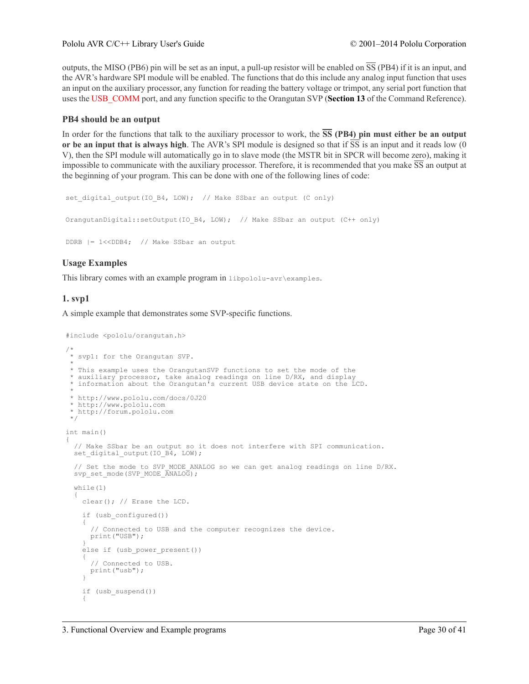outputs, the MISO (PB6) pin will be set as an input, a pull-up resistor will be enabled on  $\overline{SS}$  (PB4) if it is an input, and the AVR's hardware SPI module will be enabled. The functions that do this include any analog input function that uses an input on the auxiliary processor, any function for reading the battery voltage or trimpot, any serial port function that uses the USB\_COMM port, and any function specific to the Orangutan SVP (**[Section](http://www.pololu.com/docs/0J18/13) 13** of the Command Reference).

# **PB4 should be an output**

In order for the functions that talk to the auxiliary processor to work, the **SS (PB4) pin must either be an output or** be an input that is always high. The AVR's SPI module is designed so that if  $\overline{SS}$  is an input and it reads low (0) V), then the SPI module will automatically go in to slave mode (the MSTR bit in SPCR will become zero), making it impossible to communicate with the auxiliary processor. Therefore, it is recommended that you make SS an output at the beginning of your program. This can be done with one of the following lines of code:

```
set digital output(IO_B4, LOW); // Make SSbar an output (C only)
OrangutanDigital::setOutput(IO_B4, LOW); // Make SSbar an output (C++ only)
DDRB |= 1<<DDB4; // Make SSbar an output
```
# **Usage Examples**

This library comes with an example program in libpololu-avr\examples.

# **1. svp1**

A simple example that demonstrates some SVP-specific functions.

```
#include <pololu/orangutan.h>
/*
 * svp1: for the Orangutan SVP.
 *
 * This example uses the OrangutanSVP functions to set the mode of the
 * auxiliary processor, take analog readings on line D/RX, and display
 * information about the Orangutan's current USB device state on the LCD.
 *
 * http://www.pololu.com/docs/0J20
 * http://www.pololu.com
 * http://forum.pololu.com
 */
int main()
{
  // Make SSbar be an output so it does not interfere with SPI communication.
 set digital output(IO B4, LOW);
  // Set the mode to SVP MODE ANALOG so we can get analog readings on line D/RX.
  svp_set_mode(SVP_MODE_ANALOG);
  while(1)
  {
    clear(); // Erase the LCD.
    if (usb_configured())
    {
      // Connected to USB and the computer recognizes the device.
      print("USB");
    }
    else if (usb power present())
    {
      // Connected to USB.
     print("usb");
    }
    if (usb_suspend())
    {
```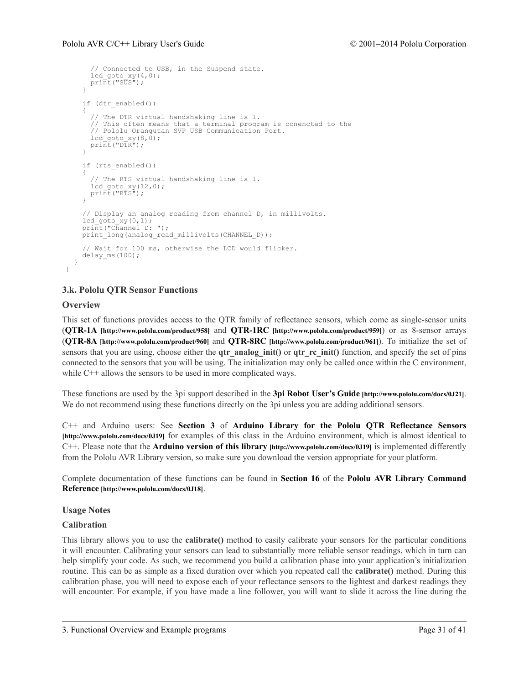```
// Connected to USB, in the Suspend state.
    lcd goto xy(4,0);prin\tilde{t} ("s\overline{u}s\tilde{v});
  }
 if (dtr_enabled())
  {
    // The DTR virtual handshaking line is 1.
    // This often means that a terminal program is conencted to the
    // Pololu Orangutan SVP USB Communication Port.
    lcd_goto_xy(8,0);
    prin\left(\mathsf{TDR}^{\overline{\mathsf{T}}}\right);}
 if (rts_enabled())
 {
    // The RTS virtual handshaking line is 1.
    lcd goto xy(12,0);print("RTS");
  }
  // Display an analog reading from channel D, in millivolts.
 lcd goto xy(0,1);
 print("Channel D: ");
 print_long(analog_read_millivolts(CHANNEL_D));
   // Wait for 100 ms, otherwise the LCD would flicker.
 delay_ms(100);
}
```
# <span id="page-30-0"></span>**3.k. Pololu QTR Sensor Functions**

# **Overview**

}

This set of functions provides access to the QTR family of reflectance sensors, which come as single-sensor units (**QTR-1A [\[http://www.pololu.com/product/958\]](http://www.pololu.com/product/958)** and **QTR-1RC [\[http://www.pololu.com/product/959\]](http://www.pololu.com/product/959)**) or as 8-sensor arrays (**QTR-8A [\[http://www.pololu.com/product/960\]](http://www.pololu.com/product/960)** and **QTR-8RC [\[http://www.pololu.com/product/961\]](http://www.pololu.com/product/961)**). To initialize the set of sensors that you are using, choose either the **qtr\_analog\_init()** or **qtr\_rc\_init()** function, and specify the set of pins connected to the sensors that you will be using. The initialization may only be called once within the C environment, while C<sup>++</sup> allows the sensors to be used in more complicated ways.

These functions are used by the 3pi support described in the **3pi Robot User's Guide [\[http://www.pololu.com/docs/0J21\]](http://www.pololu.com/docs/0J21)**. We do not recommend using these functions directly on the 3pi unless you are adding additional sensors.

C++ and Arduino users: See **[Section](http://www.pololu.com/docs/0J19/3) 3** of **Arduino Library for the Pololu QTR [Reflectance](http://www.pololu.com/docs/0J19) Sensors [\[http://www.pololu.com/docs/0J19\]](http://www.pololu.com/docs/0J19)** for examples of this class in the Arduino environment, which is almost identical to C++. Please note that the **Arduino version of this library [\[http://www.pololu.com/docs/0J19\]](http://www.pololu.com/docs/0J19)** is implemented differently from the Pololu AVR Library version, so make sure you download the version appropriate for your platform.

Complete documentation of these functions can be found in **[Section](http://www.pololu.com/docs/0J18/16) 16** of the **Pololu AVR Library [Command](http://www.pololu.com/docs/0J18) Reference [\[http://www.pololu.com/docs/0J18\]](http://www.pololu.com/docs/0J18)**.

# **Usage Notes**

# **Calibration**

This library allows you to use the **calibrate()** method to easily calibrate your sensors for the particular conditions it will encounter. Calibrating your sensors can lead to substantially more reliable sensor readings, which in turn can help simplify your code. As such, we recommend you build a calibration phase into your application's initialization routine. This can be as simple as a fixed duration over which you repeated call the **calibrate()** method. During this calibration phase, you will need to expose each of your reflectance sensors to the lightest and darkest readings they will encounter. For example, if you have made a line follower, you will want to slide it across the line during the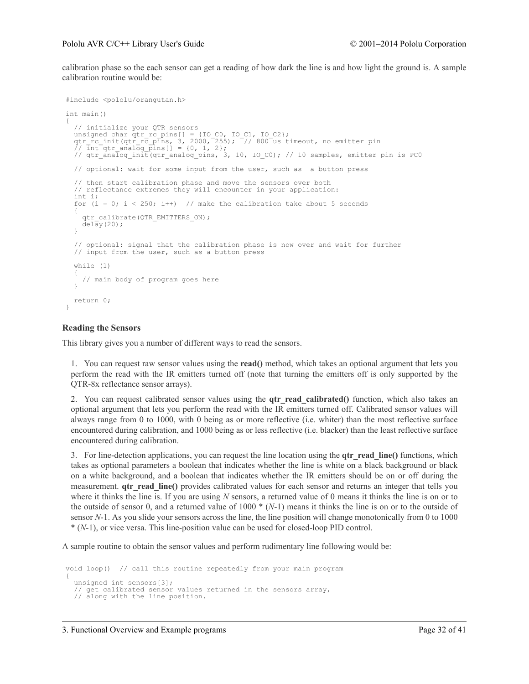calibration phase so the each sensor can get a reading of how dark the line is and how light the ground is. A sample calibration routine would be:

```
#include <pololu/orangutan.h>
int main()
{
  // initialize your QTR sensors
 unsigned char qtr_rc_pins[] = {IO_0, IOC1, IOC2};qtr_rc_init(qtr_rc_pins, 3, 2000, 255); ^-// 800 us timeout, no emitter pin
  // \overline{1}nt^{-}qtr analog \overline{p}ins[ = {0, 1, 2};
  // qtr_analog_init(qtr_analog_pins, 3, 10, IO_C0); // 10 samples, emitter pin is PC0
  // optional: wait for some input from the user, such as a button press
  // then start calibration phase and move the sensors over both
  // reflectance extremes they will encounter in your application:
  int i;
  for (i = 0; i < 250; i++) // make the calibration take about 5 seconds
  {
    qtr_calibrate(QTR_EMITTERS_ON);
   delay(20);
  }
  // optional: signal that the calibration phase is now over and wait for further
  // input from the user, such as a button press
  while (1)
  {
    // main body of program goes here
  }
  return 0;
}
```
# **Reading the Sensors**

This library gives you a number of different ways to read the sensors.

1. You can request raw sensor values using the **read()** method, which takes an optional argument that lets you perform the read with the IR emitters turned off (note that turning the emitters off is only supported by the QTR-8x reflectance sensor arrays).

2. You can request calibrated sensor values using the **qtr** read calibrated() function, which also takes an optional argument that lets you perform the read with the IR emitters turned off. Calibrated sensor values will always range from 0 to 1000, with 0 being as or more reflective (i.e. whiter) than the most reflective surface encountered during calibration, and 1000 being as or less reflective (i.e. blacker) than the least reflective surface encountered during calibration.

3. For line-detection applications, you can request the line location using the **qtr\_read\_line()** functions, which takes as optional parameters a boolean that indicates whether the line is white on a black background or black on a white background, and a boolean that indicates whether the IR emitters should be on or off during the measurement. **qtr\_read\_line()** provides calibrated values for each sensor and returns an integer that tells you where it thinks the line is. If you are using *N* sensors, a returned value of 0 means it thinks the line is on or to the outside of sensor 0, and a returned value of 1000 \* (*N*-1) means it thinks the line is on or to the outside of sensor *N*-1. As you slide your sensors across the line, the line position will change monotonically from 0 to 1000 \* (*N*-1), or vice versa. This line-position value can be used for closed-loop PID control.

A sample routine to obtain the sensor values and perform rudimentary line following would be:

```
void loop() // call this routine repeatedly from your main program
{
  unsigned int sensors[3];
  \frac{1}{s} get calibrated sensor values returned in the sensors array,
  // along with the line position.
```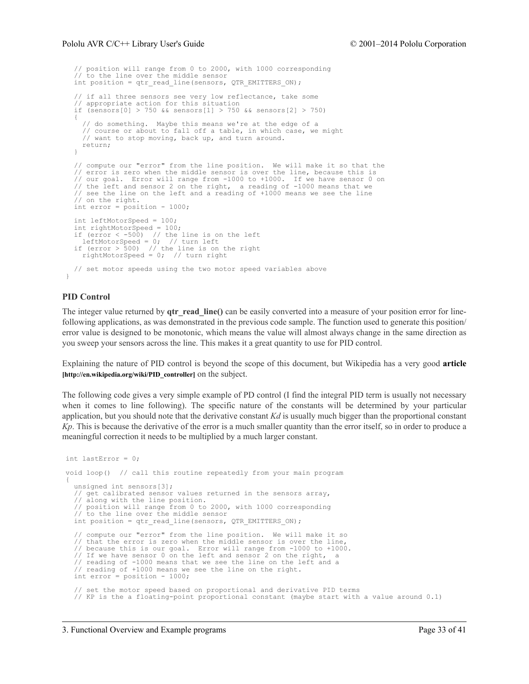```
// position will range from 0 to 2000, with 1000 corresponding
  // to the line over the middle sensor
 int position = qtr_read line(sensors, QTR EMITTERS ON);
  // if all three sensors see very low reflectance, take some
 // appropriate action for this situation
 if (sensors[0] > 750 && sensors[1] > 750 && sensors[2] > 750)
  {
    // do something. Maybe this means we're at the edge of a
    // course or about to fall off a table, in which case, we might
    // want to stop moving, back up, and turn around.
   return;
 }
 // compute our "error" from the line position. We will make it so that the
  // error is zero when the middle sensor is over the line, because this is
  // our goal. Error will range from -1000 to +1000. If we have sensor 0 on
  // the left and sensor 2 on the right, a reading of -1000 means that we
  // see the line on the left and a reading of +1000 means we see the line
  // on the right.
 int error = position - 1000;
 int leftMotorSpeed = 100;
  int rightMotorSpeed = 100;
  if (error < -500) // the line is on the left
    leftMotorSpeed = 0; // turn left
  if (error > 500) // the line is on the right
   rightMotorSpeed = 0; // turn right
 // set motor speeds using the two motor speed variables above
}
```
#### **PID Control**

The integer value returned by **qtr\_read\_line()** can be easily converted into a measure of your position error for linefollowing applications, as was demonstrated in the previous code sample. The function used to generate this position/ error value is designed to be monotonic, which means the value will almost always change in the same direction as you sweep your sensors across the line. This makes it a great quantity to use for PID control.

Explaining the nature of PID control is beyond the scope of this document, but Wikipedia has a very good **[article](http://en.wikipedia.org/wiki/PID_controller) [\[http://en.wikipedia.org/wiki/PID\\_controller\]](http://en.wikipedia.org/wiki/PID_controller)** on the subject.

The following code gives a very simple example of PD control (I find the integral PID term is usually not necessary when it comes to line following). The specific nature of the constants will be determined by your particular application, but you should note that the derivative constant *Kd* is usually much bigger than the proportional constant *Kp*. This is because the derivative of the error is a much smaller quantity than the error itself, so in order to produce a meaningful correction it needs to be multiplied by a much larger constant.

```
int lastError = 0;
void loop() // call this routine repeatedly from your main program
{
 unsigned int sensors[3];
  // get calibrated sensor values returned in the sensors array,
  // along with the line position.
  // position will range from 0 to 2000, with 1000 corresponding
  // to the line over the middle sensor
  int position = qtr read line(sensors, QTR EMITTERS ON);
  // compute our "error" from the line position. We will make it so
  // that the error is zero when the middle sensor is over the line,
  // because this is our goal. Error will range from -1000 to +1000.
  // If we have sensor 0 on the left and sensor 2 on the right,
  // reading of -1000 means that we see the line on the left and a
  // reading of +1000 means we see the line on the right.
  int error = position - 1000;
  // set the motor speed based on proportional and derivative PID terms
  // KP is the a floating-point proportional constant (maybe start with a value around 0.1)
```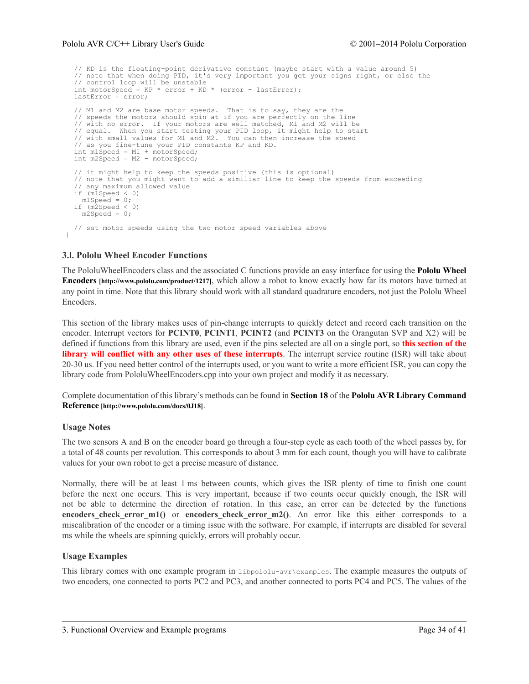```
// KD is the floating-point derivative constant (maybe start with a value around 5)
// note that when doing PID, it's very important you get your signs right, or else the
// control loop will be unstable
int motorSpeed = KP * error + KD * (error - lastError);lastError = error;
// M1 and M2 are base motor speeds. That is to say, they are the
// speeds the motors should spin at if you are perfectly on the line
// with no error. If your motors are well matched, M1 and M2 will be
// equal. When you start testing your PID loop, it might help to start
// with small values for M1 and M2. You can then increase the speed
// as you fine-tune your PID constants KP and KD.
int m1Speed = M1 + motorSpeed;
int m2Speed = M2 - motorSpeed;
// it might help to keep the speeds positive (this is optional)
// note that you might want to add a similiar line to keep the speeds from exceeding
// any maximum allowed value
if (m1Speed < 0)
 mlSpeed = 0;if (m2Speed < 0)m2Speed = 0;
// set motor speeds using the two motor speed variables above
```
# <span id="page-33-0"></span>**3.l. Pololu Wheel Encoder Functions**

The PololuWheelEncoders class and the associated C functions provide an easy interface for using the **[Pololu](http://www.pololu.com/product/1217) Wheel Encoders [\[http://www.pololu.com/product/1217\]](http://www.pololu.com/product/1217)**, which allow a robot to know exactly how far its motors have turned at any point in time. Note that this library should work with all standard quadrature encoders, not just the Pololu Wheel Encoders.

This section of the library makes uses of pin-change interrupts to quickly detect and record each transition on the encoder. Interrupt vectors for **PCINT0**, **PCINT1**, **PCINT2** (and **PCINT3** on the Orangutan SVP and X2) will be defined if functions from this library are used, even if the pins selected are all on a single port, so **this section of the library will conflict with any other uses of these interrupts**. The interrupt service routine (ISR) will take about 20-30 us. If you need better control of the interrupts used, or you want to write a more efficient ISR, you can copy the library code from PololuWheelEncoders.cpp into your own project and modify it as necessary.

Complete documentation of this library's methods can be found in **[Section](http://www.pololu.com/docs/0J18/18) 18** of the **Pololu AVR Library [Command](http://www.pololu.com/docs/0J18) Reference [\[http://www.pololu.com/docs/0J18\]](http://www.pololu.com/docs/0J18)**.

#### **Usage Notes**

}

The two sensors A and B on the encoder board go through a four-step cycle as each tooth of the wheel passes by, for a total of 48 counts per revolution. This corresponds to about 3 mm for each count, though you will have to calibrate values for your own robot to get a precise measure of distance.

Normally, there will be at least 1 ms between counts, which gives the ISR plenty of time to finish one count before the next one occurs. This is very important, because if two counts occur quickly enough, the ISR will not be able to determine the direction of rotation. In this case, an error can be detected by the functions **encoders** check error  $m1$ () or **encoders** check error  $m2$ (). An error like this either corresponds to a miscalibration of the encoder or a timing issue with the software. For example, if interrupts are disabled for several ms while the wheels are spinning quickly, errors will probably occur.

#### **Usage Examples**

This library comes with one example program in libpololu-avr\examples. The example measures the outputs of two encoders, one connected to ports PC2 and PC3, and another connected to ports PC4 and PC5. The values of the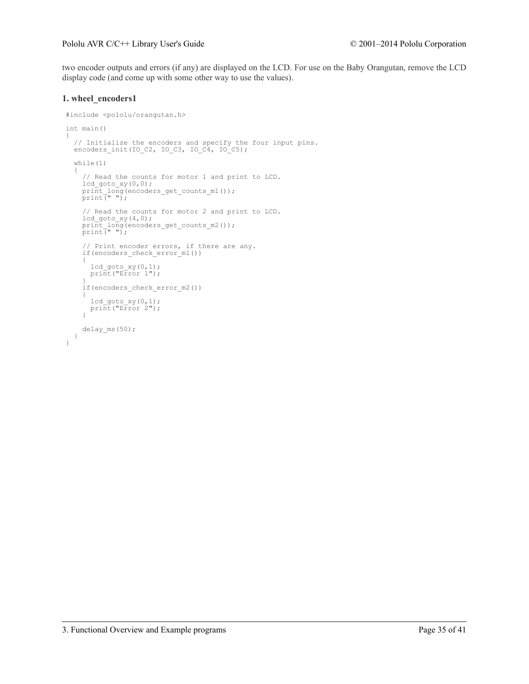two encoder outputs and errors (if any) are displayed on the LCD. For use on the Baby Orangutan, remove the LCD display code (and come up with some other way to use the values).

# **1. wheel\_encoders1**

```
#include <pololu/orangutan.h>
int main()
{
  // Initialize the encoders and specify the four input pins.
  encoders init(IO C2, IO C3, IO C4, IO C5);
  while(1)
  {
    // Read the counts for motor 1 and print to LCD.
    lcd_qoto_xy(0,0);print long(encoders get counts m1());
    \text{print}(\mathsf{''} \ \mathsf{''});
    // Read the counts for motor 2 and print to LCD.
    lcd goto xy(4,0);print_long(encoders_get_counts_m2());
    \text{print}\frac{1}{\cdot} ");
    // Print encoder errors, if there are any.
    if(encoders check error m1())
    {
      lcd_goto_xy(0,1);
      print("Error 1");
    }
    if(encoders check error m2())
    {
       lcd goto xy(0,1);print("Error 2");
    }
    delay_ms(50);
 }
}
```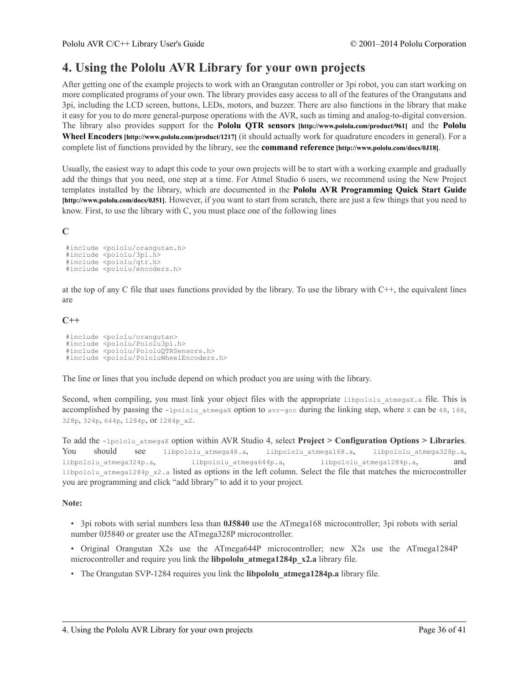# <span id="page-35-0"></span>**4. Using the Pololu AVR Library for your own projects**

After getting one of the example projects to work with an Orangutan controller or 3pi robot, you can start working on more complicated programs of your own. The library provides easy access to all of the features of the Orangutans and 3pi, including the LCD screen, buttons, LEDs, motors, and buzzer. There are also functions in the library that make it easy for you to do more general-purpose operations with the AVR, such as timing and analog-to-digital conversion. The library also provides support for the **Pololu QTR sensors [\[http://www.pololu.com/product/961\]](http://www.pololu.com/product/961)** and the **[Pololu](http://www.pololu.com/product/1217) Wheel Encoders [\[http://www.pololu.com/product/1217\]](http://www.pololu.com/product/1217)** (it should actually work for quadrature encoders in general). For a complete list of functions provided by the library, see the **command reference [\[http://www.pololu.com/docs/0J18\]](http://www.pololu.com/docs/0J18)**.

Usually, the easiest way to adapt this code to your own projects will be to start with a working example and gradually add the things that you need, one step at a time. For Atmel Studio 6 users, we recommend using the New Project templates installed by the library, which are documented in the **Pololu AVR [Programming](http://www.pololu.com/docs/0J51) Quick Start Guide [\[http://www.pololu.com/docs/0J51\]](http://www.pololu.com/docs/0J51)**. However, if you want to start from scratch, there are just a few things that you need to know. First, to use the library with C, you must place one of the following lines

# **C**

```
#include <pololu/orangutan.h>
#include <pololu/3pi.h>
#include <pololu/qtr.h>
#include <pololu/encoders.h>
```
at the top of any C file that uses functions provided by the library. To use the library with C++, the equivalent lines are

# **C++**

#include <pololu/orangutan> #include <pololu/Pololu3pi.h> #include <pololu/PololuQTRSensors.h> #include <pololu/PololuWheelEncoders.h>

The line or lines that you include depend on which product you are using with the library.

Second, when compiling, you must link your object files with the appropriate libpololu atmegaX.a file. This is accomplished by passing the -lpololu atmegax option to aver-gcc during the linking step, where x can be 48, 168, 328p, 324p, 644p, 1284p, or 1284p\_x2.

To add the -lpololu\_atmegaX option within AVR Studio 4, select **Project > Configuration Options > Libraries**. You should see libpololu atmega48.a, libpololu atmega168.a, libpololu atmega328p.a, libpololu atmega324p.a, libpololu atmega644p.a, libpololu atmega1284p.a, and libpololu atmega1284p  $x2$ .a listed as options in the left column. Select the file that matches the microcontroller you are programming and click "add library" to add it to your project.

# **Note:**

- 3pi robots with serial numbers less than **0J5840** use the ATmega168 microcontroller; 3pi robots with serial number 0J5840 or greater use the ATmega328P microcontroller.
- Original Orangutan X2s use the ATmega644P microcontroller; new X2s use the ATmega1284P microcontroller and require you link the **libpololu** atmega1284p x2.a library file.
- The Orangutan SVP-1284 requires you link the **libpololu atmega1284p.a** library file.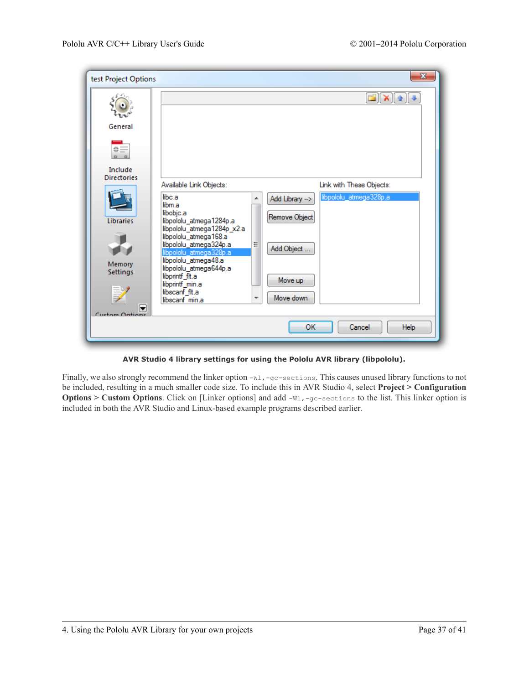| test Project Options          |                                                                                                         | $\mathbf{x}$                                              |
|-------------------------------|---------------------------------------------------------------------------------------------------------|-----------------------------------------------------------|
| General                       |                                                                                                         | $\mathbb{E}[\mathbf{X}]\oplus$                            |
| 非三<br>$a$ $a$                 |                                                                                                         |                                                           |
| Include<br><b>Directories</b> | Available Link Objects:                                                                                 | Link with These Objects:                                  |
| <b>Libraries</b>              | libc.a<br>libm.a<br>libobjc.a<br>libpololu atmega 1284p.a<br>libpololu_atmega1284p_x2.a                 | libpololu_atmega328p.a<br>Add Library -><br>Remove Object |
| Memory                        | libpololu_atmega 168.a<br>libpololu_atmega324p.a<br>Ξ<br>libpololu_atmega328p.a<br>libpololu_atmega48.a | Add Object                                                |
| Settings                      | libpololu_atmega644p.a<br>libprintf_flt.a<br>libprintf_min.a<br>libscanf flt.a<br>libscanf min.a        | Move up<br>Move down                                      |
| u<br><b>Curtom Ontions</b>    |                                                                                                         | <b>OK</b><br>Cancel<br><b>Help</b>                        |

**AVR Studio 4 library settings for using the Pololu AVR library (libpololu).**

Finally, we also strongly recommend the linker option -Wl,-gc-sections. This causes unused library functions to not be included, resulting in a much smaller code size. To include this in AVR Studio 4, select **Project > Configuration Options > Custom Options**. Click on [Linker options] and add -Wl,-gc-sections to the list. This linker option is included in both the AVR Studio and Linux-based example programs described earlier.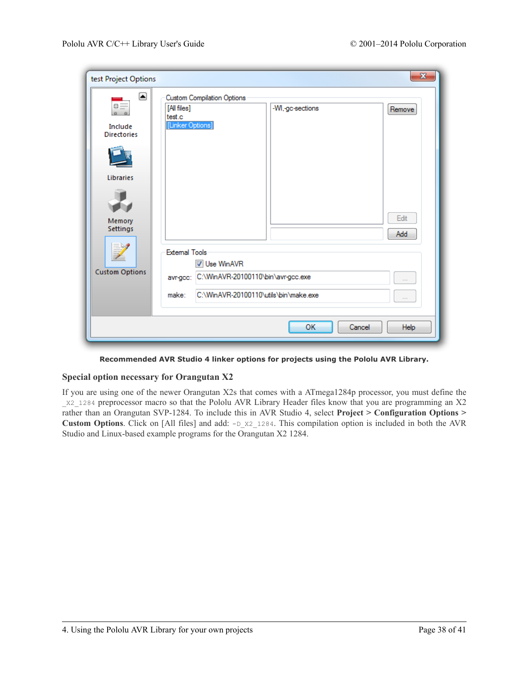| test Project Options                                                              | $\mathbf{x}$                                                                                                                                                                    |
|-----------------------------------------------------------------------------------|---------------------------------------------------------------------------------------------------------------------------------------------------------------------------------|
| ◙<br>益三<br>$\alpha$ $\alpha$<br>Include<br><b>Directories</b><br><b>Libraries</b> | <b>Custom Compilation Options</b><br>-WI,-gc-sections<br>[All files]<br>Remove<br>test.c<br>[Linker Options]                                                                    |
| Memory<br>Settings<br><b>Custom Options</b>                                       | Edit<br>Add<br><b>External Tools</b><br><b>V</b> Use WinAVR<br>C:\WinAVR-20100110\bin\avr-gcc.exe<br>avr-gcc:<br><br>C:\WinAVR-20100110\utils\bin\make.exe<br>make:<br>$\cdots$ |
|                                                                                   | ОK<br>Cancel<br>Help                                                                                                                                                            |

**Recommended AVR Studio 4 linker options for projects using the Pololu AVR Library.**

# **Special option necessary for Orangutan X2**

If you are using one of the newer Orangutan X2s that comes with a ATmega1284p processor, you must define the \_X2\_1284 preprocessor macro so that the Pololu AVR Library Header files know that you are programming an X2 rather than an Orangutan SVP-1284. To include this in AVR Studio 4, select **Project > Configuration Options > Custom Options**. Click on [All files] and add: -D\_X2\_1284. This compilation option is included in both the AVR Studio and Linux-based example programs for the Orangutan X2 1284.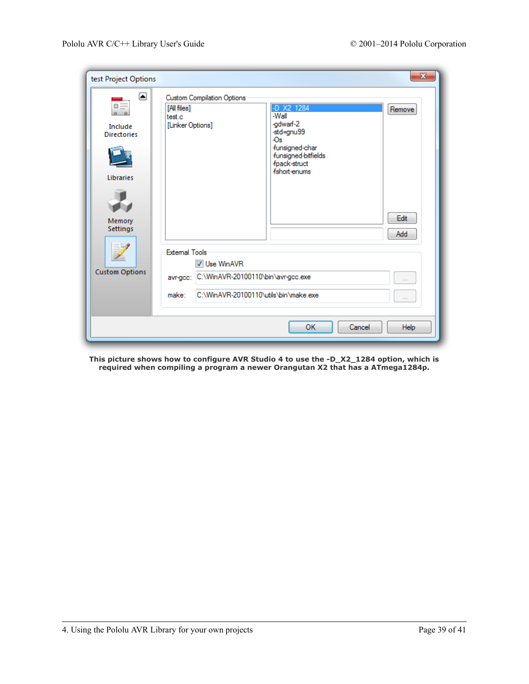| test Project Options                                               |                                            |                                                                                                    |                                                                                                                                  | $\mathbf{x}$                        |
|--------------------------------------------------------------------|--------------------------------------------|----------------------------------------------------------------------------------------------------|----------------------------------------------------------------------------------------------------------------------------------|-------------------------------------|
| ◙<br>带三<br>o.<br>Include<br><b>Directories</b><br><b>Libraries</b> | [All files]<br>test.c<br>[Linker Options]  | <b>Custom Compilation Options</b>                                                                  | -D X2 1284<br>-Wall<br>-gdwarf-2<br>-std=gnu99<br>$-0s$<br>funsigned-char<br>funsigned-bitfields<br>fpack-struct<br>fshort-enums | Remove                              |
| Memory<br>Settings<br><b>Custom Options</b>                        | <b>External Tools</b><br>avr-gcc:<br>make: | <b>V</b> Use WinAVR<br>C:\WinAVR-20100110\bin\avr-gcc.exe<br>C:\WinAVR-20100110\utils\bin\make.exe |                                                                                                                                  | Edit<br>Add<br>$\cdots$<br>$\cdots$ |
|                                                                    |                                            |                                                                                                    | <b>OK</b><br>Cancel                                                                                                              | Help                                |

**This picture shows how to configure AVR Studio 4 to use the -D\_X2\_1284 option, which is required when compiling a program a newer Orangutan X2 that has a ATmega1284p.**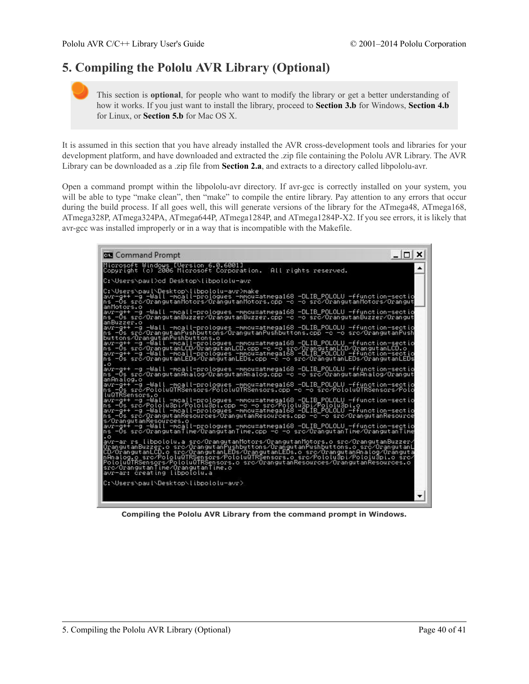# <span id="page-39-0"></span>**5. Compiling the Pololu AVR Library (Optional)**

This section is **optional**, for people who want to modify the library or get a better understanding of how it works. If you just want to install the library, proceed to **[Section](http://www.pololu.com/docs/J/3.b) 3.b** for Windows, **[Section](http://www.pololu.com/docs/J/4.b) 4.b** for Linux, or **[Section 5.b](http://www.pololu.com/docs/J/5.b)** for Mac OS X.

It is assumed in this section that you have already installed the AVR cross-development tools and libraries for your development platform, and have downloaded and extracted the .zip file containing the Pololu AVR Library. The AVR Library can be downloaded as a .zip file from **[Section 2.a](#page-3-1)**, and extracts to a directory called libpololu-avr.

Open a command prompt within the libpololu-avr directory. If avr-gcc is correctly installed on your system, you will be able to type "make clean", then "make" to compile the entire library. Pay attention to any errors that occur during the build process. If all goes well, this will generate versions of the library for the ATmega48, ATmega168, ATmega328P, ATmega324PA, ATmega644P, ATmega1284P, and ATmega1284P-X2. If you see errors, it is likely that avr-gcc was installed improperly or in a way that is incompatible with the Makefile.

| - 10 X<br><b>Command Prompt</b>                                                                                                                                                                                                                                                                                                                                                                                                                                                                                   |
|-------------------------------------------------------------------------------------------------------------------------------------------------------------------------------------------------------------------------------------------------------------------------------------------------------------------------------------------------------------------------------------------------------------------------------------------------------------------------------------------------------------------|
| Microsoft Windows [Version 6.0.6001]<br>▴<br>Copyright (c) 2006 Microsoft Corporation.<br>All rights reserved.                                                                                                                                                                                                                                                                                                                                                                                                    |
| C:\Users\paul>od Desktop\libpololu-avr                                                                                                                                                                                                                                                                                                                                                                                                                                                                            |
| C:\Users\paul\Desktop\libpololu-avr>make<br>avr-g++ -g -Wall -moall-prologues -mmou=atmega168 -DLIB_POLOLU -ffunction-sectio<br>hs -Os src/OrangutanMotors/OrangutanMotors.cpp -c -o src/OrangutanMotors/Orangut<br>anMotors.o                                                                                                                                                                                                                                                                                    |
| avr-g++ -g -Wall -mcall-prologues -mmcu=atmega168 -DLIB_POLOLU -ffunction-sectio<br>ns -Os src/OrangutanBuzzer/OrangutanBuzzer.cpp -c -o src/OrangutanBuzzer/Orangut<br>anBuzzer.o                                                                                                                                                                                                                                                                                                                                |
| avr-g++ -g -Wall -mcall-prologues -mmcu=atmega168 -DLIB_POLOLU -ffunction-sectio<br>ns -Os src/OrangutanPushbuttons/OrangutanPushbuttons.cpp -c -o src/OrangutanPush<br>buttons/OrangutanPushbuttons.o                                                                                                                                                                                                                                                                                                            |
| avr-g++ -g -@all -mcall-prologues -mmcu=atmega168 -DLIB POLOLU -ffunction-sectio<br> ns −Os src/OrangutanLCD/OrangūtanLCD.cpp −c −o src/OrangutanLCD/OrangutanLCD.o<br>avr-g++ -g -Wall -mcall-prologues -mmcu=atmega168 -DLIB_POLOLU -ffunction-sectio<br>ns -Os src/OrangutanLEDs/OrangutanLEDs.cpp -c -o src/OrangutanLEDs/OrangutanLEDs                                                                                                                                                                       |
| $\cdot$ o<br>avr-g++ -g -Wall -moall-prologues -mmou=atmega168 -DLIB_POLOLU -ffunction-sectio<br>ns -Os src/OrangutanAnalog/OrangutanAnalog.cpp -c -o src/OrangutanAnalog/Orangut<br>anAnalog.o                                                                                                                                                                                                                                                                                                                   |
| avr-g++ -g -Wall -moall-prologues -mmou=atmega168 -DLIB_POLOLU -ffunction-sectio<br>hs -Os src/PololuQTRSensors/PololuQTRSensors.cpp -c -o src/PololuQTRSensors/Polo<br>luQTRSensors.o                                                                                                                                                                                                                                                                                                                            |
| avr-g++ -g -Wall -mcall-prologues -mmcu=atmega168 -DLIB_POLOLU -ffunction-sectio<br>ns -Ōs srō⁄Pololu3pi/Pololu3pi.cpp -c -o src?Pololu3pi/Pololu3pi.o<br>avr-g++ -g -Wall -mcall-prologues -mmcu=atmega168 -DLIB_POLOLU -ffunction-sectio<br>ns -Os src/OrangutanResources/OrangutanResources.cpp -c -o src/OrangutanResource                                                                                                                                                                                    |
| s/OrangutanResources.o<br>avr-g++ -g -Wall -mcall-prologues -mmcu=atmega168 -DLIB_POLOLU -ffunction-sectio<br> ns −Os src/OrangutanTime/OrangutanTime.cpp −c −o src/OrangutanTime/OrangutanTime                                                                                                                                                                                                                                                                                                                   |
| $\cdot$ o<br>avr-ar rs libpololu.a src/OrangutanMotors/OrangutanMotors.o src/OrangutanBuzzer/<br>OrangutanBuzzer.o src/OrangutanPushbuttons/OrangutanPushbuttons.o src/OrangutanL<br>CD/OrangutanLCD.o src/OrangutanLEDs/OrangutanLEDs.o src/OrangutanAnalog/Oranguta<br>nAnalog.o src/PololuQTRSensors/PololuQTRSensors.o src/Pololu3pi/Pololu3pi.o src/<br>PololuQTRSensors/PololuQTRSensors.o src/OrangutanResources/OrangutanResources.o<br>src/OrangutanTime/OrangutanTime.o<br>avr-ar: creating libpololu.a |
| C:\Users\paul\Desktop\libpololu-avr>                                                                                                                                                                                                                                                                                                                                                                                                                                                                              |
|                                                                                                                                                                                                                                                                                                                                                                                                                                                                                                                   |

**Compiling the Pololu AVR Library from the command prompt in Windows.**